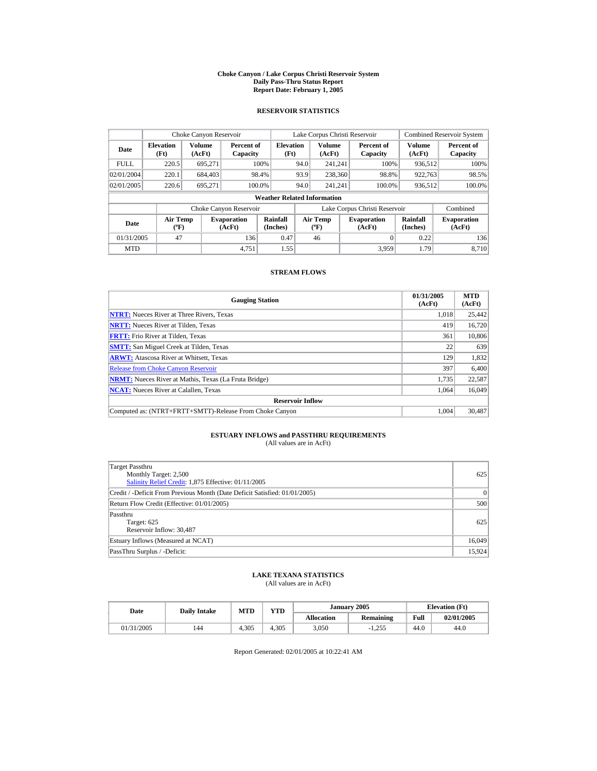#### **Choke Canyon / Lake Corpus Christi Reservoir System Daily Pass-Thru Status Report Report Date: February 1, 2005**

### **RESERVOIR STATISTICS**

| Choke Canyon Reservoir |                                             |                  |                              |                                    |      | Lake Corpus Christi Reservoir            |                               |                      | <b>Combined Reservoir System</b> |
|------------------------|---------------------------------------------|------------------|------------------------------|------------------------------------|------|------------------------------------------|-------------------------------|----------------------|----------------------------------|
| Date                   | <b>Elevation</b><br>(Ft)                    | Volume<br>(AcFt) | Percent of<br>Capacity       | <b>Elevation</b><br>(Ft)           |      | <b>Volume</b><br>(AcFt)                  | Percent of<br>Capacity        | Volume<br>(AcFt)     | Percent of<br>Capacity           |
| <b>FULL</b>            | 220.5                                       | 695.271          |                              | 100%                               | 94.0 | 241.241                                  | 100%                          | 936.512              | 100%                             |
| 02/01/2004             | 220.1                                       | 684,403          |                              | 98.4%                              | 93.9 | 238,360                                  | 98.8%                         | 922.763              | 98.5%                            |
| 02/01/2005             | 220.6                                       | 695.271          |                              | 100.0%                             | 94.0 | 241.241                                  | 100.0%                        | 936,512              | 100.0%                           |
|                        |                                             |                  |                              | <b>Weather Related Information</b> |      |                                          |                               |                      |                                  |
|                        |                                             |                  | Choke Canyon Reservoir       |                                    |      |                                          | Lake Corpus Christi Reservoir |                      | Combined                         |
| Date                   | <b>Air Temp</b><br>$({}^{\circ}\mathrm{F})$ |                  | <b>Evaporation</b><br>(AcFt) | Rainfall<br>(Inches)               |      | <b>Air Temp</b><br>$({}^{\circ}{\rm F})$ | <b>Evaporation</b><br>(AcFt)  | Rainfall<br>(Inches) | <b>Evaporation</b><br>(AcFt)     |
| 01/31/2005             | 47                                          |                  | 136                          | 0.47                               |      | 46                                       | 0                             | 0.22                 | 136                              |
| <b>MTD</b>             |                                             |                  | 4.751                        | 1.55                               |      |                                          | 3.959                         | 1.79                 | 8.710                            |

### **STREAM FLOWS**

| <b>Gauging Station</b>                                       | 01/31/2005<br>(AcFt) | <b>MTD</b><br>(AcFt) |
|--------------------------------------------------------------|----------------------|----------------------|
| <b>NTRT:</b> Nueces River at Three Rivers, Texas             | 1.018                | 25,442               |
| <b>NRTT:</b> Nueces River at Tilden, Texas                   | 419                  | 16,720               |
| <b>FRTT:</b> Frio River at Tilden, Texas                     | 361                  | 10,806               |
| <b>SMTT:</b> San Miguel Creek at Tilden, Texas               | 22                   | 639                  |
| <b>ARWT:</b> Atascosa River at Whitsett, Texas               | 129                  | 1,832                |
| <b>Release from Choke Canyon Reservoir</b>                   | 397                  | 6,400                |
| <b>NRMT:</b> Nueces River at Mathis, Texas (La Fruta Bridge) | 1.735                | 22,587               |
| <b>NCAT:</b> Nueces River at Calallen, Texas                 | 1,064                | 16,049               |
| <b>Reservoir Inflow</b>                                      |                      |                      |
| Computed as: (NTRT+FRTT+SMTT)-Release From Choke Canyon      | 1.004                | 30.487               |

# **ESTUARY INFLOWS and PASSTHRU REQUIREMENTS**<br>(All values are in AcFt)

| Target Passthru<br>Monthly Target: 2,500<br>Salinity Relief Credit: 1,875 Effective: 01/11/2005 | 625      |
|-------------------------------------------------------------------------------------------------|----------|
| Credit / -Deficit From Previous Month (Date Deficit Satisfied: 01/01/2005)                      | $\Omega$ |
| Return Flow Credit (Effective: 01/01/2005)                                                      | 500      |
| Passthru<br>Target: 625<br>Reservoir Inflow: 30,487                                             | 625      |
| Estuary Inflows (Measured at NCAT)                                                              | 16,049   |
| PassThru Surplus / -Deficit:                                                                    | 15,924   |

## **LAKE TEXANA STATISTICS**

(All values are in AcFt)

| Date       | Dailv Intake | <b>MTD</b> | YTD   |                   | January 2005 |      | <b>Elevation</b> (Ft) |
|------------|--------------|------------|-------|-------------------|--------------|------|-----------------------|
|            |              |            |       | <b>Allocation</b> | Remaining    | Full | 02/01/2005            |
| 01/31/2005 | 144          | 4.305      | 4.305 | 3,050             | $-1.255$     | 44.0 | 44.0                  |

Report Generated: 02/01/2005 at 10:22:41 AM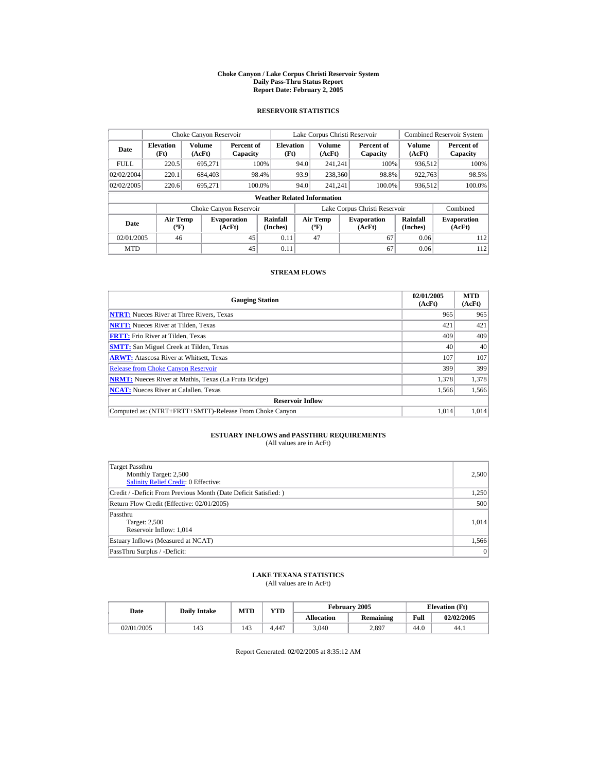#### **Choke Canyon / Lake Corpus Christi Reservoir System Daily Pass-Thru Status Report Report Date: February 2, 2005**

### **RESERVOIR STATISTICS**

| Choke Canyon Reservoir |                                             |                         |                              |                                    |      | Lake Corpus Christi Reservoir            |                               |                         | <b>Combined Reservoir System</b> |
|------------------------|---------------------------------------------|-------------------------|------------------------------|------------------------------------|------|------------------------------------------|-------------------------------|-------------------------|----------------------------------|
| Date                   | <b>Elevation</b><br>(Ft)                    | <b>Volume</b><br>(AcFt) | Percent of<br>Capacity       | <b>Elevation</b><br>(Ft)           |      | Volume<br>(AcFt)                         | Percent of<br>Capacity        | <b>Volume</b><br>(AcFt) | Percent of<br>Capacity           |
| <b>FULL</b>            | 220.5                                       | 695,271                 |                              | 100%                               | 94.0 | 241.241                                  | 100%                          | 936.512                 | 100%                             |
| 02/02/2004             | 220.1                                       | 684,403                 |                              | 98.4%                              | 93.9 | 238,360                                  | 98.8%                         | 922.763                 | 98.5%                            |
| 02/02/2005             | 220.6                                       | 695.271                 | 100.0%                       |                                    | 94.0 | 241.241                                  | 100.0%                        | 936,512                 | 100.0%                           |
|                        |                                             |                         |                              | <b>Weather Related Information</b> |      |                                          |                               |                         |                                  |
|                        |                                             |                         | Choke Canyon Reservoir       |                                    |      |                                          | Lake Corpus Christi Reservoir |                         | Combined                         |
| Date                   | <b>Air Temp</b><br>$({}^{\circ}\mathrm{F})$ |                         | <b>Evaporation</b><br>(AcFt) | Rainfall<br>(Inches)               |      | <b>Air Temp</b><br>$({}^{\circ}{\rm F})$ | <b>Evaporation</b><br>(AcFt)  | Rainfall<br>(Inches)    | <b>Evaporation</b><br>(AcFt)     |
| 02/01/2005             | 46                                          |                         | 45                           | 0.11                               |      | 47                                       | 67                            | 0.06                    | 112                              |
| <b>MTD</b>             |                                             |                         | 45                           | 0.11                               |      |                                          | 67                            | 0.06                    | 112                              |

### **STREAM FLOWS**

| <b>Gauging Station</b>                                       | 02/01/2005<br>(AcFt) | <b>MTD</b><br>(AcFt) |
|--------------------------------------------------------------|----------------------|----------------------|
| <b>NTRT:</b> Nueces River at Three Rivers, Texas             | 965                  | 965                  |
| <b>NRTT:</b> Nueces River at Tilden, Texas                   | 421                  | 421                  |
| <b>FRTT:</b> Frio River at Tilden, Texas                     | 409                  | 409                  |
| <b>SMTT:</b> San Miguel Creek at Tilden, Texas               | 40                   | 40                   |
| <b>ARWT:</b> Atascosa River at Whitsett, Texas               | 107                  | 107                  |
| <b>Release from Choke Canyon Reservoir</b>                   | 399                  | 399                  |
| <b>NRMT:</b> Nueces River at Mathis, Texas (La Fruta Bridge) | 1.378                | 1,378                |
| <b>NCAT:</b> Nueces River at Calallen, Texas                 | 1,566                | 1,566                |
| <b>Reservoir Inflow</b>                                      |                      |                      |
| Computed as: (NTRT+FRTT+SMTT)-Release From Choke Canyon      | 1.014                | 1.014                |

# **ESTUARY INFLOWS and PASSTHRU REQUIREMENTS**<br>(All values are in AcFt)

| Target Passthru<br>Monthly Target: 2,500<br>Salinity Relief Credit: 0 Effective: | 2,500 |
|----------------------------------------------------------------------------------|-------|
| Credit / -Deficit From Previous Month (Date Deficit Satisfied:)                  | 1,250 |
| Return Flow Credit (Effective: 02/01/2005)                                       | 500   |
| Passthru<br>Target: 2,500<br>Reservoir Inflow: 1,014                             | 1.014 |
| Estuary Inflows (Measured at NCAT)                                               | 1,566 |
| PassThru Surplus / -Deficit:                                                     | 0     |

## **LAKE TEXANA STATISTICS**

(All values are in AcFt)

| Date       | <b>Daily Intake</b> | <b>MTD</b> | $\mathbf{v}\mathbf{T}\mathbf{D}$ |                   | <b>February 2005</b> | <b>Elevation</b> (Ft) |            |
|------------|---------------------|------------|----------------------------------|-------------------|----------------------|-----------------------|------------|
|            |                     |            |                                  | <b>Allocation</b> | Remaining            | Full                  | 02/02/2005 |
| 02/01/2005 | 143                 | 143        | 4.447                            | 3,040             | 2,897                | 44.0                  | 44.1       |

Report Generated: 02/02/2005 at 8:35:12 AM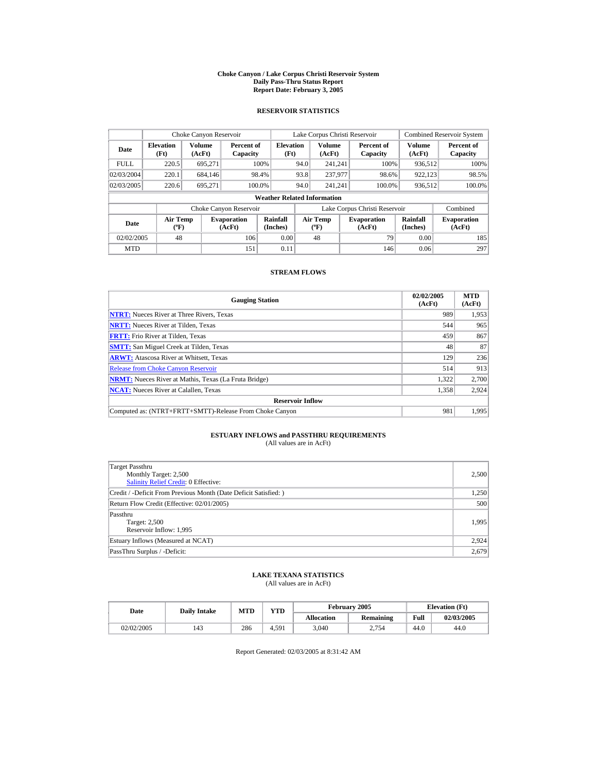#### **Choke Canyon / Lake Corpus Christi Reservoir System Daily Pass-Thru Status Report Report Date: February 3, 2005**

### **RESERVOIR STATISTICS**

| Choke Canyon Reservoir |                                             |                         |                              |                                    |      | Lake Corpus Christi Reservoir            |                               |                         | <b>Combined Reservoir System</b> |
|------------------------|---------------------------------------------|-------------------------|------------------------------|------------------------------------|------|------------------------------------------|-------------------------------|-------------------------|----------------------------------|
| Date                   | <b>Elevation</b><br>(Ft)                    | <b>Volume</b><br>(AcFt) | Percent of<br>Capacity       | <b>Elevation</b><br>(Ft)           |      | Volume<br>(AcFt)                         | Percent of<br>Capacity        | <b>Volume</b><br>(AcFt) | Percent of<br>Capacity           |
| <b>FULL</b>            | 220.5                                       | 695.271                 |                              | 100%                               | 94.0 | 241.241                                  | 100%                          | 936.512                 | 100%                             |
| 02/03/2004             | 220.1                                       | 684,146                 |                              | 98.4%                              | 93.8 | 237,977                                  | 98.6%                         | 922.123                 | 98.5%                            |
| 02/03/2005             | 220.6                                       | 695.271                 |                              | 100.0%                             | 94.0 | 241.241                                  | 100.0%                        | 936,512                 | 100.0%                           |
|                        |                                             |                         |                              | <b>Weather Related Information</b> |      |                                          |                               |                         |                                  |
|                        |                                             |                         | Choke Canyon Reservoir       |                                    |      |                                          | Lake Corpus Christi Reservoir |                         | Combined                         |
| Date                   | <b>Air Temp</b><br>$({}^{\circ}\mathrm{F})$ |                         | <b>Evaporation</b><br>(AcFt) | Rainfall<br>(Inches)               |      | <b>Air Temp</b><br>$({}^{\circ}{\rm F})$ | <b>Evaporation</b><br>(AcFt)  | Rainfall<br>(Inches)    | <b>Evaporation</b><br>(AcFt)     |
| 02/02/2005             | 48                                          |                         | 106                          | 0.00                               |      | 48                                       | 79                            | 0.00                    | 185                              |
| <b>MTD</b>             |                                             |                         | 151                          | 0.11                               |      |                                          | 146                           | 0.06                    | 297                              |

### **STREAM FLOWS**

| <b>Gauging Station</b>                                       | 02/02/2005<br>(AcFt) | <b>MTD</b><br>(AcFt) |
|--------------------------------------------------------------|----------------------|----------------------|
| <b>NTRT:</b> Nueces River at Three Rivers, Texas             | 989                  | 1,953                |
| <b>NRTT:</b> Nueces River at Tilden, Texas                   | 544                  | 965                  |
| <b>FRTT:</b> Frio River at Tilden, Texas                     | 459                  | 867                  |
| <b>SMTT:</b> San Miguel Creek at Tilden, Texas               | 48                   | 87                   |
| <b>ARWT:</b> Atascosa River at Whitsett, Texas               | 129                  | 236                  |
| <b>Release from Choke Canyon Reservoir</b>                   | 514                  | 913                  |
| <b>NRMT:</b> Nueces River at Mathis, Texas (La Fruta Bridge) | 1.322                | 2.700                |
| <b>NCAT:</b> Nueces River at Calallen, Texas                 | 1,358                | 2,924                |
| <b>Reservoir Inflow</b>                                      |                      |                      |
| Computed as: (NTRT+FRTT+SMTT)-Release From Choke Canyon      | 981                  | 1.995                |

# **ESTUARY INFLOWS and PASSTHRU REQUIREMENTS**<br>(All values are in AcFt)

| Target Passthru<br>Monthly Target: 2,500<br><b>Salinity Relief Credit: 0 Effective:</b> | 2,500 |
|-----------------------------------------------------------------------------------------|-------|
| Credit / -Deficit From Previous Month (Date Deficit Satisfied:)                         | 1,250 |
| Return Flow Credit (Effective: 02/01/2005)                                              | 500   |
| Passthru<br>Target: 2,500<br>Reservoir Inflow: 1,995                                    | 1.995 |
| Estuary Inflows (Measured at NCAT)                                                      | 2,924 |
| PassThru Surplus / -Deficit:                                                            | 2,679 |

## **LAKE TEXANA STATISTICS**

(All values are in AcFt)

| Date       | <b>Daily Intake</b> | <b>MTD</b> | $_{\rm VTD}$ |                   | February 2005 |      | <b>Elevation</b> (Ft) |
|------------|---------------------|------------|--------------|-------------------|---------------|------|-----------------------|
|            |                     |            |              | <b>Allocation</b> | Remaining     | Full | 02/03/2005            |
| 02/02/2005 | 143                 | 286        | 4.591        | 3,040             | 2.754         | 44.0 | 44.0                  |

Report Generated: 02/03/2005 at 8:31:42 AM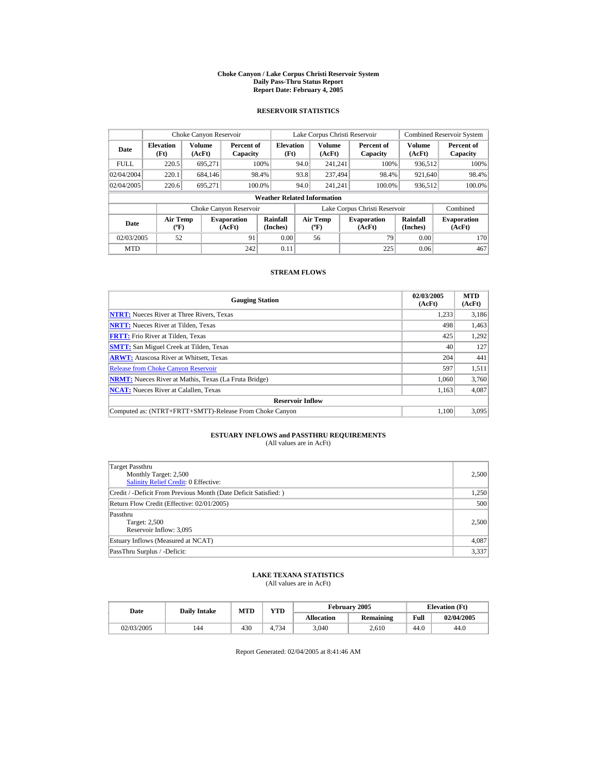#### **Choke Canyon / Lake Corpus Christi Reservoir System Daily Pass-Thru Status Report Report Date: February 4, 2005**

### **RESERVOIR STATISTICS**

|                                                             | Choke Canyon Reservoir                      |         |                              |                          |      | Lake Corpus Christi Reservoir            |      |                               |                         | <b>Combined Reservoir System</b> |  |  |
|-------------------------------------------------------------|---------------------------------------------|---------|------------------------------|--------------------------|------|------------------------------------------|------|-------------------------------|-------------------------|----------------------------------|--|--|
| <b>Volume</b><br><b>Elevation</b><br>Date<br>(AcFt)<br>(Ft) |                                             |         | Percent of<br>Capacity       | <b>Elevation</b><br>(Ft) |      | Volume<br>(AcFt)                         |      | Percent of<br>Capacity        | <b>Volume</b><br>(AcFt) | Percent of<br>Capacity           |  |  |
| <b>FULL</b>                                                 | 220.5                                       | 695.271 |                              | 100%                     | 94.0 | 241.241                                  |      | 100%                          | 936.512                 | 100%                             |  |  |
| 02/04/2004                                                  | 220.1                                       | 684,146 |                              | 98.4%                    | 93.8 | 237.494                                  |      | 98.4%                         | 921,640                 | 98.4%                            |  |  |
| 02/04/2005                                                  | 220.6                                       | 695.271 | 100.0%                       |                          | 94.0 | 241.241                                  |      | 100.0%                        | 936,512                 | 100.0%                           |  |  |
|                                                             | <b>Weather Related Information</b>          |         |                              |                          |      |                                          |      |                               |                         |                                  |  |  |
|                                                             |                                             |         | Choke Canyon Reservoir       |                          |      |                                          |      | Lake Corpus Christi Reservoir |                         | Combined                         |  |  |
| Date                                                        | <b>Air Temp</b><br>$({}^{\circ}\mathrm{F})$ |         | <b>Evaporation</b><br>(AcFt) | Rainfall<br>(Inches)     |      | <b>Air Temp</b><br>$({}^{\circ}{\rm F})$ |      | <b>Evaporation</b><br>(AcFt)  | Rainfall<br>(Inches)    | <b>Evaporation</b><br>(AcFt)     |  |  |
| 91<br>02/03/2005<br>52                                      |                                             | 0.00    |                              | 56                       |      | 79                                       | 0.00 | 170                           |                         |                                  |  |  |
| <b>MTD</b>                                                  |                                             |         | 242                          | 0.11                     |      |                                          |      | 225                           | 0.06                    | 467                              |  |  |

### **STREAM FLOWS**

| <b>Gauging Station</b>                                       | 02/03/2005<br>(AcFt) | <b>MTD</b><br>(AcFt) |
|--------------------------------------------------------------|----------------------|----------------------|
| <b>NTRT:</b> Nueces River at Three Rivers, Texas             | 1,233                | 3,186                |
| <b>NRTT:</b> Nueces River at Tilden, Texas                   | 498                  | 1,463                |
| <b>FRTT:</b> Frio River at Tilden, Texas                     | 425                  | 1,292                |
| <b>SMTT:</b> San Miguel Creek at Tilden, Texas               | 40                   | 127                  |
| <b>ARWT:</b> Atascosa River at Whitsett, Texas               | 204                  | 441                  |
| <b>Release from Choke Canyon Reservoir</b>                   | 597                  | 1,511                |
| <b>NRMT:</b> Nueces River at Mathis, Texas (La Fruta Bridge) | 1.060                | 3.760                |
| <b>NCAT:</b> Nueces River at Calallen, Texas                 | 1,163                | 4,087                |
| <b>Reservoir Inflow</b>                                      |                      |                      |
| Computed as: (NTRT+FRTT+SMTT)-Release From Choke Canyon      | 1.100                | 3.095                |

# **ESTUARY INFLOWS and PASSTHRU REQUIREMENTS**<br>(All values are in AcFt)

| Target Passthru<br>Monthly Target: 2,500<br>Salinity Relief Credit: 0 Effective: | 2,500 |
|----------------------------------------------------------------------------------|-------|
| Credit / -Deficit From Previous Month (Date Deficit Satisfied:)                  | 1,250 |
| Return Flow Credit (Effective: 02/01/2005)                                       | 500   |
| Passthru<br>Target: 2,500<br>Reservoir Inflow: 3,095                             | 2,500 |
| Estuary Inflows (Measured at NCAT)                                               | 4,087 |
| PassThru Surplus / -Deficit:                                                     | 3,337 |

## **LAKE TEXANA STATISTICS**

(All values are in AcFt)

| Date       | <b>Daily Intake</b> | <b>MTD</b> |            |                   | February 2005 | <b>Elevation</b> (Ft) |            |
|------------|---------------------|------------|------------|-------------------|---------------|-----------------------|------------|
|            |                     |            | YTD        | <b>Allocation</b> | Remaining     | Full                  | 02/04/2005 |
| 02/03/2005 | 144                 | 430        | .734<br>4. | 3.040             | 2.610         | 44.U                  | 44.0       |

Report Generated: 02/04/2005 at 8:41:46 AM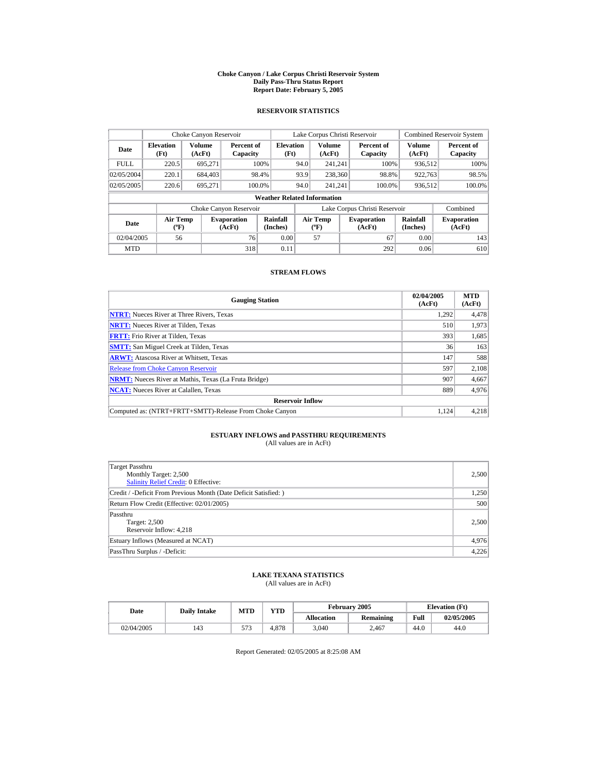#### **Choke Canyon / Lake Corpus Christi Reservoir System Daily Pass-Thru Status Report Report Date: February 5, 2005**

### **RESERVOIR STATISTICS**

|                                                      | Choke Canyon Reservoir                      |         |                              |                          | Lake Corpus Christi Reservoir |                                          |      |                               |                         | <b>Combined Reservoir System</b> |  |  |
|------------------------------------------------------|---------------------------------------------|---------|------------------------------|--------------------------|-------------------------------|------------------------------------------|------|-------------------------------|-------------------------|----------------------------------|--|--|
| Volume<br><b>Elevation</b><br>Date<br>(AcFt)<br>(Ft) |                                             |         | Percent of<br>Capacity       | <b>Elevation</b><br>(Ft) |                               | Volume<br>(AcFt)                         |      | Percent of<br>Capacity        | <b>Volume</b><br>(AcFt) | Percent of<br>Capacity           |  |  |
| <b>FULL</b>                                          | 220.5                                       | 695,271 |                              | 100%                     | 94.0                          | 241.241                                  |      | 100%                          | 936.512                 | 100%                             |  |  |
| 02/05/2004                                           | 220.1                                       | 684,403 |                              | 98.4%                    | 93.9                          | 238,360                                  |      | 98.8%                         | 922.763                 | 98.5%                            |  |  |
| 02/05/2005                                           | 220.6                                       | 695.271 | 100.0%                       |                          | 94.0                          | 241.241                                  |      | 100.0%                        | 936,512                 | 100.0%                           |  |  |
|                                                      | <b>Weather Related Information</b>          |         |                              |                          |                               |                                          |      |                               |                         |                                  |  |  |
|                                                      |                                             |         | Choke Canyon Reservoir       |                          |                               |                                          |      | Lake Corpus Christi Reservoir |                         | Combined                         |  |  |
| Date                                                 | <b>Air Temp</b><br>$({}^{\circ}\mathrm{F})$ |         | <b>Evaporation</b><br>(AcFt) | Rainfall<br>(Inches)     |                               | <b>Air Temp</b><br>$({}^{\circ}{\rm F})$ |      | <b>Evaporation</b><br>(AcFt)  | Rainfall<br>(Inches)    | <b>Evaporation</b><br>(AcFt)     |  |  |
| 76<br>02/04/2005<br>56                               |                                             | 0.00    |                              | 57                       |                               | 67                                       | 0.00 | 143                           |                         |                                  |  |  |
| <b>MTD</b>                                           |                                             |         | 318                          | 0.11                     |                               |                                          |      | 292                           | 0.06                    | 610                              |  |  |

### **STREAM FLOWS**

| <b>Gauging Station</b>                                       | 02/04/2005<br>(AcFt) | <b>MTD</b><br>(AcFt) |
|--------------------------------------------------------------|----------------------|----------------------|
| <b>NTRT:</b> Nueces River at Three Rivers, Texas             | 1.292                | 4,478                |
| <b>NRTT:</b> Nueces River at Tilden, Texas                   | 510                  | 1,973                |
| <b>FRTT:</b> Frio River at Tilden, Texas                     | 393                  | 1,685                |
| <b>SMTT:</b> San Miguel Creek at Tilden, Texas               | 36                   | 163                  |
| <b>ARWT:</b> Atascosa River at Whitsett, Texas               | 147                  | 588                  |
| <b>Release from Choke Canyon Reservoir</b>                   | 597                  | 2.108                |
| <b>NRMT:</b> Nueces River at Mathis, Texas (La Fruta Bridge) | 907                  | 4,667                |
| <b>NCAT:</b> Nueces River at Calallen, Texas                 | 889                  | 4,976                |
| <b>Reservoir Inflow</b>                                      |                      |                      |
| Computed as: (NTRT+FRTT+SMTT)-Release From Choke Canyon      | 1.124                | 4,218                |

# **ESTUARY INFLOWS and PASSTHRU REQUIREMENTS**<br>(All values are in AcFt)

| Target Passthru<br>Monthly Target: 2,500<br><b>Salinity Relief Credit: 0 Effective:</b> | 2,500 |
|-----------------------------------------------------------------------------------------|-------|
| Credit / -Deficit From Previous Month (Date Deficit Satisfied:)                         | 1,250 |
| Return Flow Credit (Effective: 02/01/2005)                                              | 500   |
| Passthru<br>Target: 2,500<br>Reservoir Inflow: 4.218                                    | 2,500 |
| Estuary Inflows (Measured at NCAT)                                                      | 4,976 |
| PassThru Surplus / -Deficit:                                                            | 4,226 |

## **LAKE TEXANA STATISTICS**

(All values are in AcFt)

| Date       | <b>Daily Intake</b> | MTD        | VTD   |                   | February 2005    |      | <b>Elevation</b> (Ft) |
|------------|---------------------|------------|-------|-------------------|------------------|------|-----------------------|
|            |                     |            |       | <b>Allocation</b> | <b>Remaining</b> | Full | 02/05/2005            |
| 02/04/2005 | 143                 | <u>. .</u> | 4.878 | 3.040             | 2.467            | 44.0 | 44.0                  |

Report Generated: 02/05/2005 at 8:25:08 AM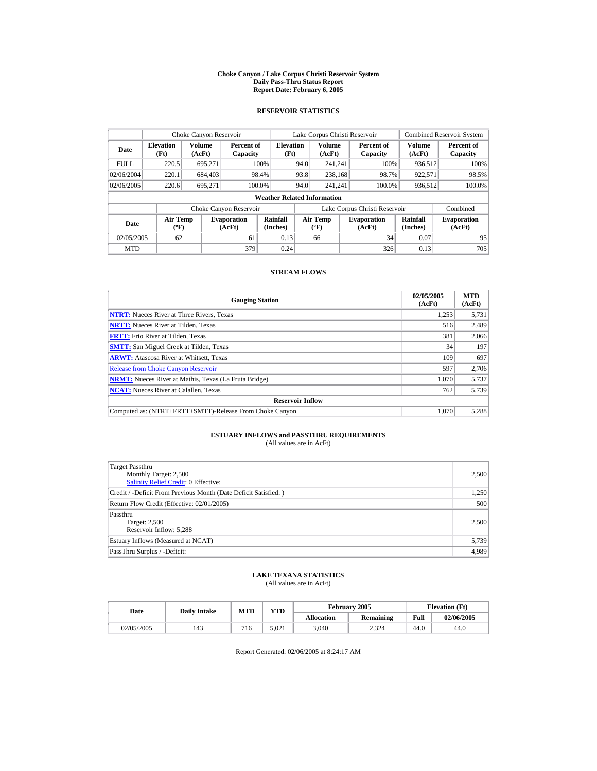#### **Choke Canyon / Lake Corpus Christi Reservoir System Daily Pass-Thru Status Report Report Date: February 6, 2005**

### **RESERVOIR STATISTICS**

|                                                      | Choke Canyon Reservoir                      |         |                              |                          | Lake Corpus Christi Reservoir |                                          |      |                               |                         | <b>Combined Reservoir System</b> |  |  |
|------------------------------------------------------|---------------------------------------------|---------|------------------------------|--------------------------|-------------------------------|------------------------------------------|------|-------------------------------|-------------------------|----------------------------------|--|--|
| Volume<br><b>Elevation</b><br>Date<br>(AcFt)<br>(Ft) |                                             |         | Percent of<br>Capacity       | <b>Elevation</b><br>(Ft) |                               | Volume<br>(AcFt)                         |      | Percent of<br>Capacity        | <b>Volume</b><br>(AcFt) | Percent of<br>Capacity           |  |  |
| <b>FULL</b>                                          | 220.5                                       | 695,271 |                              | 100%                     | 94.0                          | 241.241                                  |      | 100%                          | 936.512                 | 100%                             |  |  |
| 02/06/2004                                           | 220.1                                       | 684,403 |                              | 98.4%                    | 93.8                          | 238.168                                  |      | 98.7%                         | 922.571                 | 98.5%                            |  |  |
| 02/06/2005                                           | 220.6                                       | 695.271 |                              | 100.0%                   | 94.0                          | 241.241                                  |      | 100.0%                        | 936,512                 | 100.0%                           |  |  |
|                                                      | <b>Weather Related Information</b>          |         |                              |                          |                               |                                          |      |                               |                         |                                  |  |  |
|                                                      |                                             |         | Choke Canyon Reservoir       |                          |                               |                                          |      | Lake Corpus Christi Reservoir |                         | Combined                         |  |  |
| Date                                                 | <b>Air Temp</b><br>$({}^{\circ}\mathrm{F})$ |         | <b>Evaporation</b><br>(AcFt) | Rainfall<br>(Inches)     |                               | <b>Air Temp</b><br>$({}^{\circ}{\rm F})$ |      | <b>Evaporation</b><br>(AcFt)  | Rainfall<br>(Inches)    | <b>Evaporation</b><br>(AcFt)     |  |  |
| 02/05/2005<br>62<br>61                               |                                             | 0.13    |                              | 66                       |                               | 34                                       | 0.07 | 95                            |                         |                                  |  |  |
| <b>MTD</b>                                           |                                             |         | 379                          | 0.24                     |                               |                                          |      | 326                           | 0.13                    | 705                              |  |  |

### **STREAM FLOWS**

| <b>Gauging Station</b>                                       | 02/05/2005<br>(AcFt) | <b>MTD</b><br>(AcFt) |
|--------------------------------------------------------------|----------------------|----------------------|
| <b>NTRT:</b> Nueces River at Three Rivers, Texas             | 1,253                | 5,731                |
| <b>NRTT:</b> Nueces River at Tilden, Texas                   | 516                  | 2,489                |
| <b>FRTT:</b> Frio River at Tilden, Texas                     | 381                  | 2,066                |
| <b>SMTT:</b> San Miguel Creek at Tilden, Texas               | 34                   | 197                  |
| <b>ARWT:</b> Atascosa River at Whitsett, Texas               | 109                  | 697                  |
| <b>Release from Choke Canyon Reservoir</b>                   | 597                  | 2.706                |
| <b>NRMT:</b> Nueces River at Mathis, Texas (La Fruta Bridge) | 1.070                | 5,737                |
| <b>NCAT:</b> Nueces River at Calallen, Texas                 | 762                  | 5,739                |
| <b>Reservoir Inflow</b>                                      |                      |                      |
| Computed as: (NTRT+FRTT+SMTT)-Release From Choke Canyon      | 1.070                | 5,288                |

# **ESTUARY INFLOWS and PASSTHRU REQUIREMENTS**<br>(All values are in AcFt)

| Target Passthru<br>Monthly Target: 2,500<br><b>Salinity Relief Credit: 0 Effective:</b> | 2,500 |
|-----------------------------------------------------------------------------------------|-------|
| Credit / -Deficit From Previous Month (Date Deficit Satisfied:)                         | 1,250 |
| Return Flow Credit (Effective: 02/01/2005)                                              | 500   |
| Passthru<br>Target: 2,500<br>Reservoir Inflow: 5,288                                    | 2,500 |
| Estuary Inflows (Measured at NCAT)                                                      | 5,739 |
| PassThru Surplus / -Deficit:                                                            | 4,989 |

## **LAKE TEXANA STATISTICS**

(All values are in AcFt)

| Date       | <b>Daily Intake</b> | MTD | $_{\rm VTD}$ |                   | February 2005    | <b>Elevation</b> (Ft) |            |
|------------|---------------------|-----|--------------|-------------------|------------------|-----------------------|------------|
|            |                     |     |              | <b>Allocation</b> | <b>Remaining</b> | Full                  | 02/06/2005 |
| 02/05/2005 | 143                 | 716 | 5.021        | 3.040             | 2,324            | 44.0                  | 44.0       |

Report Generated: 02/06/2005 at 8:24:17 AM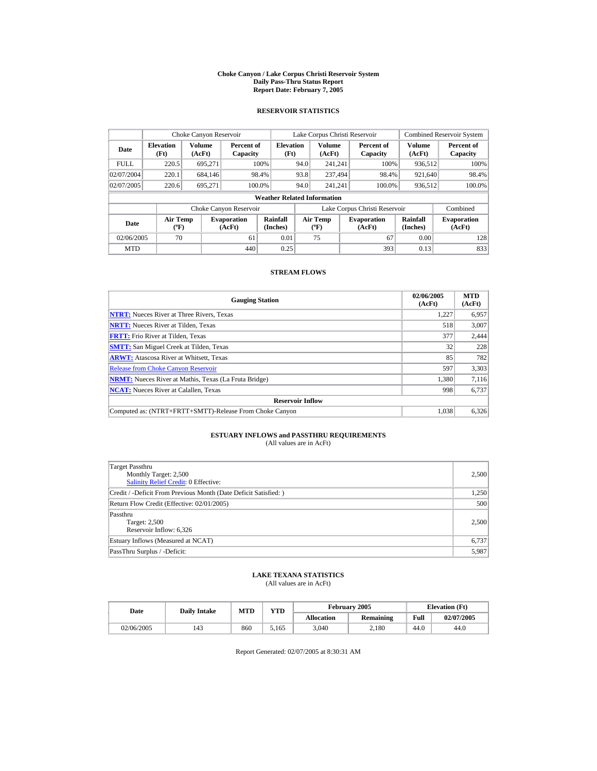#### **Choke Canyon / Lake Corpus Christi Reservoir System Daily Pass-Thru Status Report Report Date: February 7, 2005**

### **RESERVOIR STATISTICS**

|             | Choke Canyon Reservoir                      |                         |                              |                          | Lake Corpus Christi Reservoir            |                  |  |                               |                         | <b>Combined Reservoir System</b> |  |  |
|-------------|---------------------------------------------|-------------------------|------------------------------|--------------------------|------------------------------------------|------------------|--|-------------------------------|-------------------------|----------------------------------|--|--|
| Date        | <b>Elevation</b><br>(Ft)                    | <b>Volume</b><br>(AcFt) | Percent of<br>Capacity       | <b>Elevation</b><br>(Ft) |                                          | Volume<br>(AcFt) |  | Percent of<br>Capacity        | <b>Volume</b><br>(AcFt) | Percent of<br>Capacity           |  |  |
| <b>FULL</b> | 220.5                                       | 695.271                 |                              | 100%                     | 94.0                                     | 241.241          |  | 100%                          | 936.512                 | 100%                             |  |  |
| 02/07/2004  | 220.1                                       | 684,146                 |                              | 98.4%                    | 93.8                                     | 237.494          |  | 98.4%                         | 921,640                 | 98.4%                            |  |  |
| 02/07/2005  | 220.6                                       | 695.271                 |                              | 100.0%                   | 94.0                                     | 241.241          |  | 100.0%                        | 936,512                 | 100.0%                           |  |  |
|             | <b>Weather Related Information</b>          |                         |                              |                          |                                          |                  |  |                               |                         |                                  |  |  |
|             |                                             |                         | Choke Canyon Reservoir       |                          |                                          |                  |  | Lake Corpus Christi Reservoir |                         | Combined                         |  |  |
| Date        | <b>Air Temp</b><br>$({}^{\circ}\mathrm{F})$ |                         | <b>Evaporation</b><br>(AcFt) | Rainfall<br>(Inches)     | <b>Air Temp</b><br>$({}^{\circ}{\rm F})$ |                  |  | <b>Evaporation</b><br>(AcFt)  | Rainfall<br>(Inches)    | <b>Evaporation</b><br>(AcFt)     |  |  |
| 02/06/2005  | 70                                          |                         | 61                           | 0.01                     |                                          | 75               |  | 67                            | 0.00                    | 128                              |  |  |
| <b>MTD</b>  |                                             |                         | 440                          | 0.25                     |                                          |                  |  | 393                           | 0.13                    | 833                              |  |  |

### **STREAM FLOWS**

| <b>Gauging Station</b>                                       | 02/06/2005<br>(AcFt) | <b>MTD</b><br>(AcFt) |
|--------------------------------------------------------------|----------------------|----------------------|
| <b>NTRT:</b> Nueces River at Three Rivers, Texas             | 1.227                | 6,957                |
| <b>NRTT:</b> Nueces River at Tilden, Texas                   | 518                  | 3.007                |
| <b>FRTT:</b> Frio River at Tilden, Texas                     | 377                  | 2,444                |
| <b>SMTT:</b> San Miguel Creek at Tilden, Texas               | 32                   | 228                  |
| <b>ARWT:</b> Atascosa River at Whitsett, Texas               | 85                   | 782                  |
| <b>Release from Choke Canyon Reservoir</b>                   | 597                  | 3,303                |
| <b>NRMT:</b> Nueces River at Mathis, Texas (La Fruta Bridge) | 1.380                | 7.116                |
| <b>NCAT:</b> Nueces River at Calallen, Texas                 | 998                  | 6,737                |
| <b>Reservoir Inflow</b>                                      |                      |                      |
| Computed as: (NTRT+FRTT+SMTT)-Release From Choke Canyon      | 1.038                | 6,326                |

# **ESTUARY INFLOWS and PASSTHRU REQUIREMENTS**<br>(All values are in AcFt)

| Target Passthru<br>Monthly Target: 2,500<br><b>Salinity Relief Credit: 0 Effective:</b> | 2,500 |
|-----------------------------------------------------------------------------------------|-------|
| Credit / -Deficit From Previous Month (Date Deficit Satisfied:)                         | 1,250 |
| Return Flow Credit (Effective: 02/01/2005)                                              | 500   |
| Passthru<br>Target: 2,500<br>Reservoir Inflow: 6,326                                    | 2,500 |
| Estuary Inflows (Measured at NCAT)                                                      | 6,737 |
| PassThru Surplus / -Deficit:                                                            | 5,987 |

## **LAKE TEXANA STATISTICS**

(All values are in AcFt)

| Date       | <b>Daily Intake</b> | <b>MTD</b> | $_{\rm VTD}$ |                   | February 2005 | <b>Elevation</b> (Ft) |            |
|------------|---------------------|------------|--------------|-------------------|---------------|-----------------------|------------|
|            |                     |            |              | <b>Allocation</b> | Remaining     | Full                  | 02/07/2005 |
| 02/06/2005 | 143                 | 860        | 5.165        | 3,040             | 2.180         | 44.0                  | 44.0       |

Report Generated: 02/07/2005 at 8:30:31 AM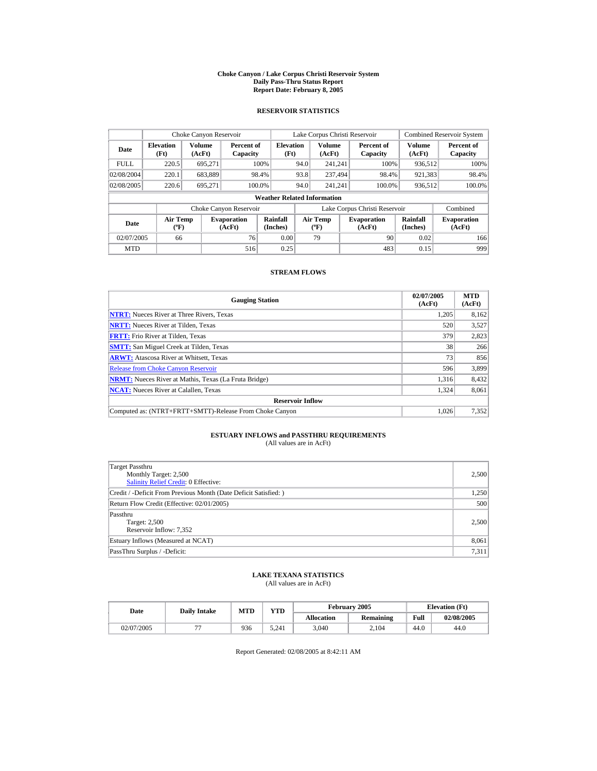#### **Choke Canyon / Lake Corpus Christi Reservoir System Daily Pass-Thru Status Report Report Date: February 8, 2005**

### **RESERVOIR STATISTICS**

|             | Choke Canyon Reservoir                      |                  |                              |                          | Lake Corpus Christi Reservoir |                                          |  |                               | <b>Combined Reservoir System</b> |                              |  |  |
|-------------|---------------------------------------------|------------------|------------------------------|--------------------------|-------------------------------|------------------------------------------|--|-------------------------------|----------------------------------|------------------------------|--|--|
| Date        | <b>Elevation</b><br>(Ft)                    | Volume<br>(AcFt) | Percent of<br>Capacity       | <b>Elevation</b><br>(Ft) |                               | <b>Volume</b><br>(AcFt)                  |  | Percent of<br>Capacity        | <b>Volume</b><br>(AcFt)          | Percent of<br>Capacity       |  |  |
| <b>FULL</b> | 220.5                                       | 695,271          |                              | 100%                     | 94.0                          | 241.241                                  |  | 100%                          | 936.512                          | 100%                         |  |  |
| 02/08/2004  | 220.1                                       | 683,889          |                              | 98.4%                    | 93.8                          | 237.494                                  |  | 98.4%                         | 921,383                          | 98.4%                        |  |  |
| 02/08/2005  | 220.6                                       | 695.271          |                              | 100.0%                   | 94.0                          | 241.241                                  |  | 100.0%                        | 936,512                          | 100.0%                       |  |  |
|             | <b>Weather Related Information</b>          |                  |                              |                          |                               |                                          |  |                               |                                  |                              |  |  |
|             |                                             |                  | Choke Canyon Reservoir       |                          |                               |                                          |  | Lake Corpus Christi Reservoir |                                  | Combined                     |  |  |
| Date        | <b>Air Temp</b><br>$({}^{\circ}\mathrm{F})$ |                  | <b>Evaporation</b><br>(AcFt) | Rainfall<br>(Inches)     |                               | <b>Air Temp</b><br>$({}^{\circ}{\rm F})$ |  | <b>Evaporation</b><br>(AcFt)  | Rainfall<br>(Inches)             | <b>Evaporation</b><br>(AcFt) |  |  |
| 02/07/2005  | 66                                          |                  | 76                           | 0.00                     |                               | 79                                       |  | 90                            | 0.02                             | 166                          |  |  |
| <b>MTD</b>  |                                             |                  | 516                          | 0.25                     |                               |                                          |  | 483                           | 0.15                             | 999                          |  |  |

### **STREAM FLOWS**

| <b>Gauging Station</b>                                       | 02/07/2005<br>(AcFt) | <b>MTD</b><br>(AcFt) |
|--------------------------------------------------------------|----------------------|----------------------|
| <b>NTRT:</b> Nueces River at Three Rivers, Texas             | 1,205                | 8,162                |
| <b>NRTT:</b> Nueces River at Tilden, Texas                   | 520                  | 3,527                |
| <b>FRTT:</b> Frio River at Tilden, Texas                     | 379                  | 2,823                |
| <b>SMTT:</b> San Miguel Creek at Tilden, Texas               | 38                   | 266                  |
| <b>ARWT:</b> Atascosa River at Whitsett, Texas               | 73                   | 856                  |
| <b>Release from Choke Canyon Reservoir</b>                   | 596                  | 3,899                |
| <b>NRMT:</b> Nueces River at Mathis, Texas (La Fruta Bridge) | 1.316                | 8,432                |
| <b>NCAT:</b> Nueces River at Calallen, Texas                 | 1,324                | 8,061                |
| <b>Reservoir Inflow</b>                                      |                      |                      |
| Computed as: (NTRT+FRTT+SMTT)-Release From Choke Canyon      | 1.026                | 7,352                |

# **ESTUARY INFLOWS and PASSTHRU REQUIREMENTS**<br>(All values are in AcFt)

| Target Passthru<br>Monthly Target: 2,500<br><b>Salinity Relief Credit: 0 Effective:</b> | 2,500 |
|-----------------------------------------------------------------------------------------|-------|
| Credit / -Deficit From Previous Month (Date Deficit Satisfied:)                         | 1,250 |
| Return Flow Credit (Effective: 02/01/2005)                                              | 500   |
| Passthru<br>Target: 2,500<br>Reservoir Inflow: 7,352                                    | 2,500 |
| Estuary Inflows (Measured at NCAT)                                                      | 8,061 |
| PassThru Surplus / -Deficit:                                                            | 7,311 |

## **LAKE TEXANA STATISTICS**

(All values are in AcFt)

| Date       | <b>Daily Intake</b> | <b>MTD</b> | YTD   |                   | February 2005 | <b>Elevation</b> (Ft) |            |
|------------|---------------------|------------|-------|-------------------|---------------|-----------------------|------------|
|            |                     |            |       | <b>Allocation</b> | Remaining     | Full                  | 02/08/2005 |
| 02/07/2005 |                     | 936        | 5.241 | 3.040             | 2.104         | 44.U                  | 44.0       |

Report Generated: 02/08/2005 at 8:42:11 AM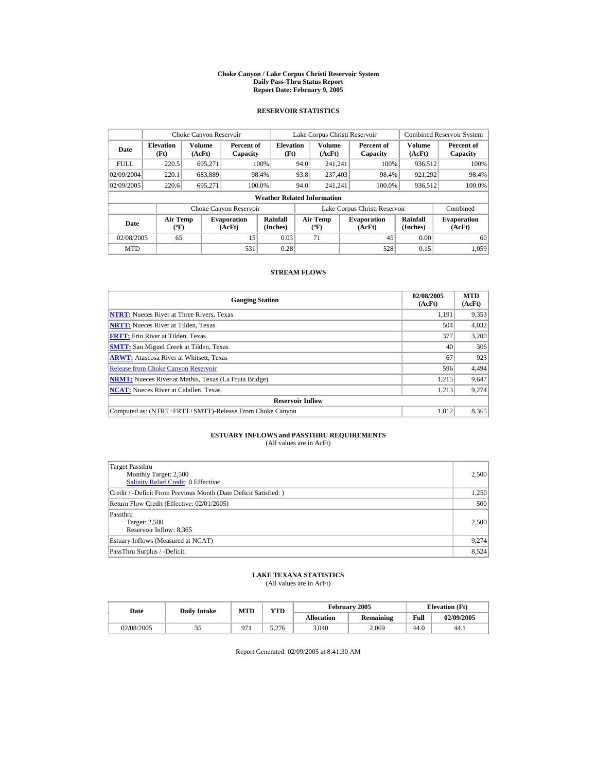#### **Choke Canyon / Lake Corpus Christi Reservoir System Daily Pass-Thru Status Report Report Date: February 9, 2005**

### **RESERVOIR STATISTICS**

|             | Choke Canyon Reservoir                      |                  |                              |                          | Lake Corpus Christi Reservoir |                                   |  |                               |                      | <b>Combined Reservoir System</b> |  |  |
|-------------|---------------------------------------------|------------------|------------------------------|--------------------------|-------------------------------|-----------------------------------|--|-------------------------------|----------------------|----------------------------------|--|--|
| Date        | <b>Elevation</b><br>(Ft)                    | Volume<br>(AcFt) | Percent of<br>Capacity       | <b>Elevation</b><br>(Ft) |                               | Volume<br>(AcFt)                  |  | Percent of<br>Capacity        | Volume<br>(AcFt)     | Percent of<br>Capacity           |  |  |
| <b>FULL</b> | 220.5                                       | 695.271          |                              | 100%                     | 94.0                          | 241.241                           |  | 100%                          | 936.512              | 100%                             |  |  |
| 02/09/2004  | 220.1                                       | 683,889          |                              | 98.4%                    | 93.8                          | 237,403                           |  | 98.4%                         | 921.292              | 98.4%                            |  |  |
| 02/09/2005  | 220.6                                       | 695.271          | 100.0%                       |                          | 94.0                          | 241.241                           |  | 100.0%                        | 936,512              | 100.0%                           |  |  |
|             | <b>Weather Related Information</b>          |                  |                              |                          |                               |                                   |  |                               |                      |                                  |  |  |
|             |                                             |                  | Choke Canyon Reservoir       |                          |                               |                                   |  | Lake Corpus Christi Reservoir |                      | Combined                         |  |  |
| Date        | <b>Air Temp</b><br>$({}^{\circ}\mathrm{F})$ |                  | <b>Evaporation</b><br>(AcFt) | Rainfall<br>(Inches)     |                               | Air Temp<br>$({}^{\circ}{\rm F})$ |  | <b>Evaporation</b><br>(AcFt)  | Rainfall<br>(Inches) | <b>Evaporation</b><br>(AcFt)     |  |  |
| 02/08/2005  | 65                                          |                  | 15                           | 0.03                     |                               | 71                                |  | 45                            | 0.00                 | 60                               |  |  |
| <b>MTD</b>  |                                             |                  | 531                          | 0.28                     |                               |                                   |  | 528                           | 0.15                 | 1.059                            |  |  |

### **STREAM FLOWS**

| <b>Gauging Station</b>                                       | 02/08/2005<br>(AcFt) | <b>MTD</b><br>(AcFt) |
|--------------------------------------------------------------|----------------------|----------------------|
| <b>NTRT:</b> Nueces River at Three Rivers, Texas             | 1.191                | 9,353                |
| <b>NRTT:</b> Nueces River at Tilden, Texas                   | 504                  | 4,032                |
| <b>FRTT:</b> Frio River at Tilden, Texas                     | 377                  | 3,200                |
| <b>SMTT:</b> San Miguel Creek at Tilden, Texas               | 40                   | 306                  |
| <b>ARWT:</b> Atascosa River at Whitsett, Texas               | 67                   | 923                  |
| <b>Release from Choke Canvon Reservoir</b>                   | 596                  | 4,494                |
| <b>NRMT:</b> Nueces River at Mathis, Texas (La Fruta Bridge) | 1,215                | 9,647                |
| <b>NCAT:</b> Nueces River at Calallen, Texas                 | 1,213                | 9,274                |
| <b>Reservoir Inflow</b>                                      |                      |                      |
| Computed as: (NTRT+FRTT+SMTT)-Release From Choke Canyon      | 1.012                | 8,365                |

# **ESTUARY INFLOWS and PASSTHRU REQUIREMENTS**<br>(All values are in AcFt)

| Target Passthru<br>Monthly Target: 2,500<br><b>Salinity Relief Credit: 0 Effective:</b> | 2,500 |
|-----------------------------------------------------------------------------------------|-------|
| Credit / -Deficit From Previous Month (Date Deficit Satisfied:)                         | 1,250 |
| Return Flow Credit (Effective: 02/01/2005)                                              | 500   |
| Passthru<br>Target: 2,500<br>Reservoir Inflow: 8,365                                    | 2,500 |
| Estuary Inflows (Measured at NCAT)                                                      | 9,274 |
| PassThru Surplus / -Deficit:                                                            | 8,524 |

## **LAKE TEXANA STATISTICS**

(All values are in AcFt)

| Date       | <b>Daily Intake</b> | <b>MTD</b> | YTD   |                   | February 2005 | <b>Elevation</b> (Ft) |            |
|------------|---------------------|------------|-------|-------------------|---------------|-----------------------|------------|
|            |                     |            |       | <b>Allocation</b> | Remaining     | Full                  | 02/09/2005 |
| 02/08/2005 | ر ر                 | 07         | 5.276 | 3.040             | 2.069         | 44.U                  | 44.1       |

Report Generated: 02/09/2005 at 8:41:30 AM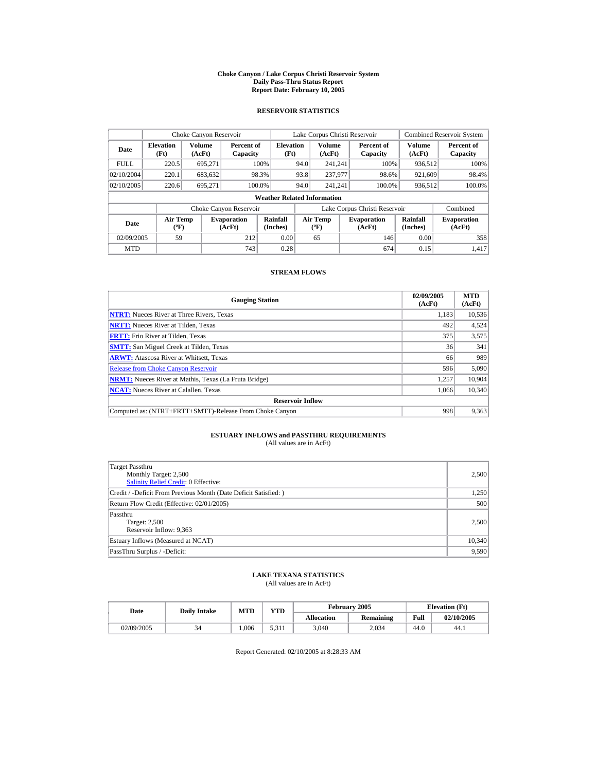#### **Choke Canyon / Lake Corpus Christi Reservoir System Daily Pass-Thru Status Report Report Date: February 10, 2005**

### **RESERVOIR STATISTICS**

| Choke Canyon Reservoir           |                                             |                  |                              |                                    |      | Lake Corpus Christi Reservoir            |                               |                         | <b>Combined Reservoir System</b> |
|----------------------------------|---------------------------------------------|------------------|------------------------------|------------------------------------|------|------------------------------------------|-------------------------------|-------------------------|----------------------------------|
| <b>Elevation</b><br>Date<br>(Ft) |                                             | Volume<br>(AcFt) | Percent of<br>Capacity       | <b>Elevation</b><br>(Ft)           |      | <b>Volume</b><br>(AcFt)                  | Percent of<br>Capacity        | <b>Volume</b><br>(AcFt) | Percent of<br>Capacity           |
| <b>FULL</b>                      | 220.5                                       | 695.271          |                              | 100%                               | 94.0 | 241.241                                  | 100%                          | 936.512                 | 100%                             |
| 02/10/2004                       | 220.1                                       | 683,632          |                              | 98.3%                              | 93.8 | 237,977                                  | 98.6%                         | 921,609                 | 98.4%                            |
| 02/10/2005                       | 220.6                                       | 695.271          |                              | 100.0%                             | 94.0 | 241.241                                  | 100.0%                        | 936,512                 | 100.0%                           |
|                                  |                                             |                  |                              | <b>Weather Related Information</b> |      |                                          |                               |                         |                                  |
|                                  |                                             |                  | Choke Canyon Reservoir       |                                    |      |                                          | Lake Corpus Christi Reservoir |                         | Combined                         |
| Date                             | <b>Air Temp</b><br>$({}^{\circ}\mathrm{F})$ |                  | <b>Evaporation</b><br>(AcFt) | Rainfall<br>(Inches)               |      | <b>Air Temp</b><br>$({}^{\circ}{\rm F})$ | <b>Evaporation</b><br>(AcFt)  | Rainfall<br>(Inches)    | <b>Evaporation</b><br>(AcFt)     |
| 02/09/2005                       | 59                                          |                  | 212                          | 0.00                               |      | 65                                       | 146                           | 0.00                    | 358                              |
| <b>MTD</b>                       |                                             |                  | 743                          | 0.28                               |      |                                          | 674                           | 0.15                    | 1.417                            |

### **STREAM FLOWS**

| <b>Gauging Station</b>                                       | 02/09/2005<br>(AcFt) | <b>MTD</b><br>(AcFt) |
|--------------------------------------------------------------|----------------------|----------------------|
| <b>NTRT:</b> Nueces River at Three Rivers, Texas             | 1.183                | 10,536               |
| <b>NRTT:</b> Nueces River at Tilden, Texas                   | 492                  | 4,524                |
| <b>FRTT:</b> Frio River at Tilden, Texas                     | 375                  | 3,575                |
| <b>SMTT:</b> San Miguel Creek at Tilden, Texas               | 36                   | 341                  |
| <b>ARWT:</b> Atascosa River at Whitsett, Texas               | 66                   | 989                  |
| <b>Release from Choke Canyon Reservoir</b>                   | 596                  | 5,090                |
| <b>NRMT:</b> Nueces River at Mathis, Texas (La Fruta Bridge) | 1.257                | 10.904               |
| <b>NCAT:</b> Nueces River at Calallen, Texas                 | 1.066                | 10.340               |
| <b>Reservoir Inflow</b>                                      |                      |                      |
| Computed as: (NTRT+FRTT+SMTT)-Release From Choke Canyon      | 998                  | 9,363                |

# **ESTUARY INFLOWS and PASSTHRU REQUIREMENTS**<br>(All values are in AcFt)

| Target Passthru<br>Monthly Target: 2,500<br>Salinity Relief Credit: 0 Effective: | 2,500  |
|----------------------------------------------------------------------------------|--------|
| Credit / -Deficit From Previous Month (Date Deficit Satisfied: )                 | 1,250  |
| Return Flow Credit (Effective: 02/01/2005)                                       | 500    |
| Passthru<br>Target: 2,500<br>Reservoir Inflow: 9,363                             | 2,500  |
| Estuary Inflows (Measured at NCAT)                                               | 10,340 |
| PassThru Surplus / -Deficit:                                                     | 9,590  |

## **LAKE TEXANA STATISTICS**

(All values are in AcFt)

| Date       | <b>Daily Intake</b> | <b>MTD</b> |            |                   | February 2005 |      | <b>Elevation</b> (Ft) |
|------------|---------------------|------------|------------|-------------------|---------------|------|-----------------------|
|            |                     |            | <b>YTD</b> | <b>Allocation</b> | Remaining     | Full | 02/10/2005            |
| 02/09/2005 |                     | .006       | 5.311      | 3,040             | 2.034         | 44.0 | 44.1                  |

Report Generated: 02/10/2005 at 8:28:33 AM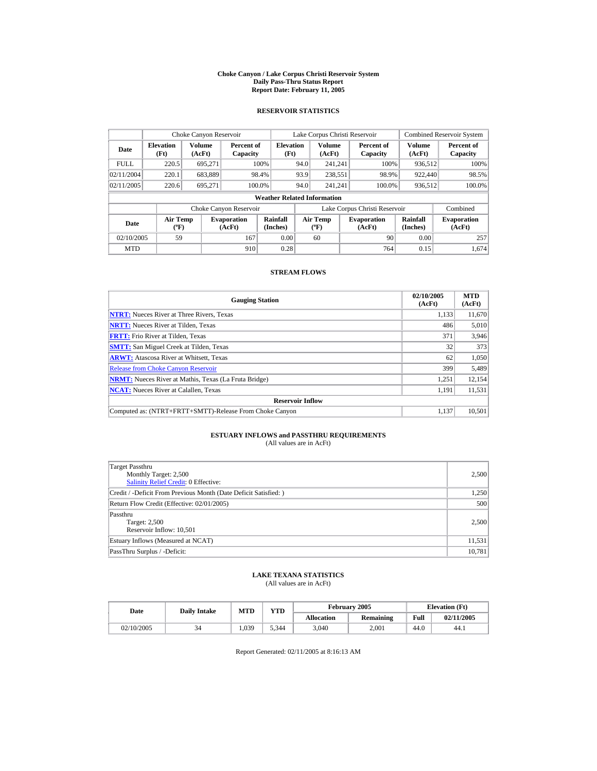#### **Choke Canyon / Lake Corpus Christi Reservoir System Daily Pass-Thru Status Report Report Date: February 11, 2005**

### **RESERVOIR STATISTICS**

| Choke Canyon Reservoir |                                                  |                  |                              |                                    |      | Lake Corpus Christi Reservoir |                               |                      | <b>Combined Reservoir System</b> |
|------------------------|--------------------------------------------------|------------------|------------------------------|------------------------------------|------|-------------------------------|-------------------------------|----------------------|----------------------------------|
| Date                   | <b>Elevation</b><br>(Ft)                         | Volume<br>(AcFt) | Percent of<br>Capacity       | <b>Elevation</b><br>(Ft)           |      | <b>Volume</b><br>(AcFt)       | Percent of<br>Capacity        | Volume<br>(AcFt)     | Percent of<br>Capacity           |
| <b>FULL</b>            | 220.5                                            | 695.271          |                              | 100%                               | 94.0 | 241.241                       | 100%                          | 936.512              | 100%                             |
| 02/11/2004             | 220.1                                            | 683,889          |                              | 98.4%                              | 93.9 | 238,551                       | 98.9%                         | 922,440              | 98.5%                            |
| 02/11/2005             | 220.6                                            | 695,271          | 100.0%                       |                                    | 94.0 | 241.241                       | 100.0%                        | 936,512              | 100.0%                           |
|                        |                                                  |                  |                              | <b>Weather Related Information</b> |      |                               |                               |                      |                                  |
|                        |                                                  |                  | Choke Canyon Reservoir       |                                    |      |                               | Lake Corpus Christi Reservoir |                      | Combined                         |
| Date                   | <b>Air Temp</b><br>$({}^{\mathrm{o}}\mathrm{F})$ |                  | <b>Evaporation</b><br>(AcFt) | Rainfall<br>(Inches)               |      | Air Temp<br>$(^{o}\text{F})$  | <b>Evaporation</b><br>(AcFt)  | Rainfall<br>(Inches) | <b>Evaporation</b><br>(AcFt)     |
| 02/10/2005             | 59                                               |                  | 167                          | 0.00                               |      | 60                            | 90                            | 0.00                 | 257                              |
| <b>MTD</b>             |                                                  |                  | 910                          | 0.28                               |      |                               | 764                           | 0.15                 | 1.674                            |

### **STREAM FLOWS**

| <b>Gauging Station</b>                                       | 02/10/2005<br>(AcFt) | <b>MTD</b><br>(AcFt) |
|--------------------------------------------------------------|----------------------|----------------------|
| <b>NTRT:</b> Nueces River at Three Rivers, Texas             | 1,133                | 11,670               |
| <b>NRTT:</b> Nueces River at Tilden, Texas                   | 486                  | 5,010                |
| <b>FRTT:</b> Frio River at Tilden, Texas                     | 371                  | 3,946                |
| <b>SMTT:</b> San Miguel Creek at Tilden, Texas               | 32                   | 373                  |
| <b>ARWT:</b> Atascosa River at Whitsett, Texas               | 62                   | 1,050                |
| <b>Release from Choke Canyon Reservoir</b>                   | 399                  | 5,489                |
| <b>NRMT:</b> Nueces River at Mathis, Texas (La Fruta Bridge) | 1.251                | 12,154               |
| <b>NCAT:</b> Nueces River at Calallen, Texas                 | 1,191                | 11,531               |
| <b>Reservoir Inflow</b>                                      |                      |                      |
| Computed as: (NTRT+FRTT+SMTT)-Release From Choke Canyon      | 1.137                | 10.501               |

# **ESTUARY INFLOWS and PASSTHRU REQUIREMENTS**<br>(All values are in AcFt)

| Target Passthru<br>Monthly Target: 2,500<br><b>Salinity Relief Credit: 0 Effective:</b> | 2,500  |
|-----------------------------------------------------------------------------------------|--------|
| Credit / -Deficit From Previous Month (Date Deficit Satisfied:)                         | 1,250  |
| Return Flow Credit (Effective: 02/01/2005)                                              | 500    |
| Passthru<br>Target: 2,500<br>Reservoir Inflow: 10,501                                   | 2,500  |
| Estuary Inflows (Measured at NCAT)                                                      | 11,531 |
| PassThru Surplus / -Deficit:                                                            | 10,781 |

## **LAKE TEXANA STATISTICS**

(All values are in AcFt)

| Date       | <b>Daily Intake</b> | <b>MTD</b> | February 2005<br><b>YTD</b> |                   |           |      | <b>Elevation</b> (Ft) |
|------------|---------------------|------------|-----------------------------|-------------------|-----------|------|-----------------------|
|            |                     |            |                             | <b>Allocation</b> | Remaining | Full | 02/11/2005            |
| 02/10/2005 |                     | .039       | 5.344                       | 3,040             | 2.001     | 44.0 | 44.1                  |

Report Generated: 02/11/2005 at 8:16:13 AM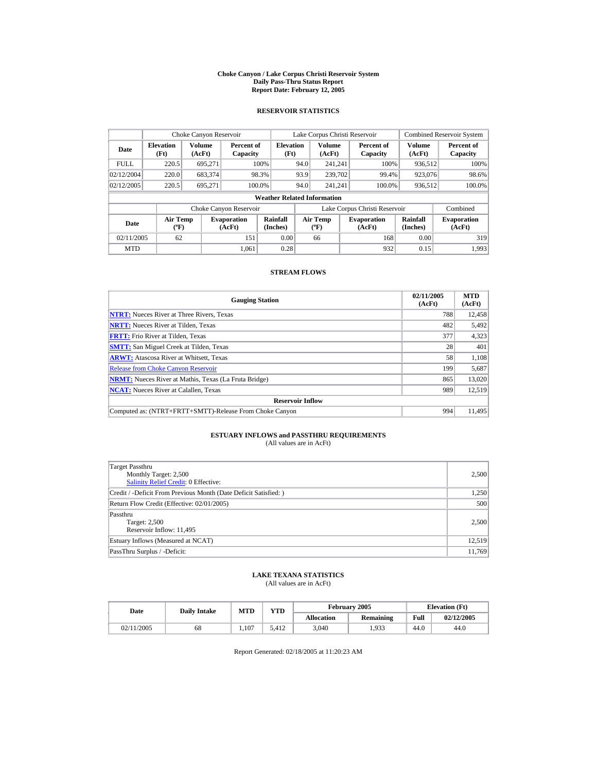#### **Choke Canyon / Lake Corpus Christi Reservoir System Daily Pass-Thru Status Report Report Date: February 12, 2005**

### **RESERVOIR STATISTICS**

| Choke Canyon Reservoir           |                                      |                         |                              |                                    |      | Lake Corpus Christi Reservoir        |                               |                      | <b>Combined Reservoir System</b> |
|----------------------------------|--------------------------------------|-------------------------|------------------------------|------------------------------------|------|--------------------------------------|-------------------------------|----------------------|----------------------------------|
| <b>Elevation</b><br>Date<br>(Ft) |                                      | <b>Volume</b><br>(AcFt) | Percent of<br>Capacity       | <b>Elevation</b><br>(Ft)           |      | <b>Volume</b><br>(AcFt)              | Percent of<br>Capacity        | Volume<br>(AcFt)     | Percent of<br>Capacity           |
| <b>FULL</b>                      | 220.5                                | 695.271                 |                              | 100%                               | 94.0 | 241.241                              | 100%                          | 936,512              | 100%                             |
| 02/12/2004                       | 220.0                                | 683,374                 |                              | 98.3%                              | 93.9 | 239,702                              | 99.4%                         | 923,076              | 98.6%                            |
| 02/12/2005                       | 220.5                                | 695.271                 |                              | 100.0%                             | 94.0 | 241.241                              | 100.0%                        | 936,512              | 100.0%                           |
|                                  |                                      |                         |                              | <b>Weather Related Information</b> |      |                                      |                               |                      |                                  |
|                                  |                                      |                         | Choke Canyon Reservoir       |                                    |      |                                      | Lake Corpus Christi Reservoir |                      | Combined                         |
| Date                             | Air Temp<br>$({}^{\circ}\mathrm{F})$ |                         | <b>Evaporation</b><br>(AcFt) | Rainfall<br>(Inches)               |      | Air Temp<br>$({}^{\circ}\mathbf{F})$ | <b>Evaporation</b><br>(AcFt)  | Rainfall<br>(Inches) | <b>Evaporation</b><br>(AcFt)     |
| 02/11/2005<br>62<br>151          |                                      |                         |                              | 0.00                               |      | 66                                   | 168                           | 0.00                 | 319                              |
| <b>MTD</b>                       |                                      |                         | 1.061                        | 0.28                               |      |                                      | 932                           | 0.15                 | 1.993                            |

### **STREAM FLOWS**

| <b>Gauging Station</b>                                       | 02/11/2005<br>(AcFt) | <b>MTD</b><br>(AcFt) |
|--------------------------------------------------------------|----------------------|----------------------|
| <b>NTRT:</b> Nueces River at Three Rivers, Texas             | 788                  | 12,458               |
| <b>NRTT:</b> Nueces River at Tilden, Texas                   | 482                  | 5,492                |
| <b>FRTT:</b> Frio River at Tilden, Texas                     | 377                  | 4,323                |
| <b>SMTT:</b> San Miguel Creek at Tilden, Texas               | 28                   | 401                  |
| <b>ARWT:</b> Atascosa River at Whitsett, Texas               | 58                   | 1,108                |
| <b>Release from Choke Canyon Reservoir</b>                   | 199                  | 5,687                |
| <b>NRMT:</b> Nueces River at Mathis, Texas (La Fruta Bridge) | 865                  | 13,020               |
| <b>NCAT:</b> Nueces River at Calallen, Texas                 | 989                  | 12,519               |
| <b>Reservoir Inflow</b>                                      |                      |                      |
| Computed as: (NTRT+FRTT+SMTT)-Release From Choke Canyon      | 994                  | 11.495               |

# **ESTUARY INFLOWS and PASSTHRU REQUIREMENTS**<br>(All values are in AcFt)

| Target Passthru<br>Monthly Target: 2,500<br>Salinity Relief Credit: 0 Effective: | 2,500  |
|----------------------------------------------------------------------------------|--------|
| Credit / -Deficit From Previous Month (Date Deficit Satisfied: )                 | 1,250  |
| Return Flow Credit (Effective: 02/01/2005)                                       | 500    |
| Passthru<br>Target: 2,500<br>Reservoir Inflow: 11,495                            | 2,500  |
| Estuary Inflows (Measured at NCAT)                                               | 12,519 |
| PassThru Surplus / -Deficit:                                                     | 11,769 |

## **LAKE TEXANA STATISTICS**

(All values are in AcFt)

| Date       | <b>Daily Intake</b> | MTD   | <b>VTD</b> |                   | February 2005 |      | <b>Elevation</b> (Ft) |  |
|------------|---------------------|-------|------------|-------------------|---------------|------|-----------------------|--|
|            |                     |       |            | <b>Allocation</b> | Remaining     | Full | 02/12/2005            |  |
| 02/11/2005 | 68                  | 1.107 | 5.412      | 3.040             | .933          | 44.0 | 44.0                  |  |

Report Generated: 02/18/2005 at 11:20:23 AM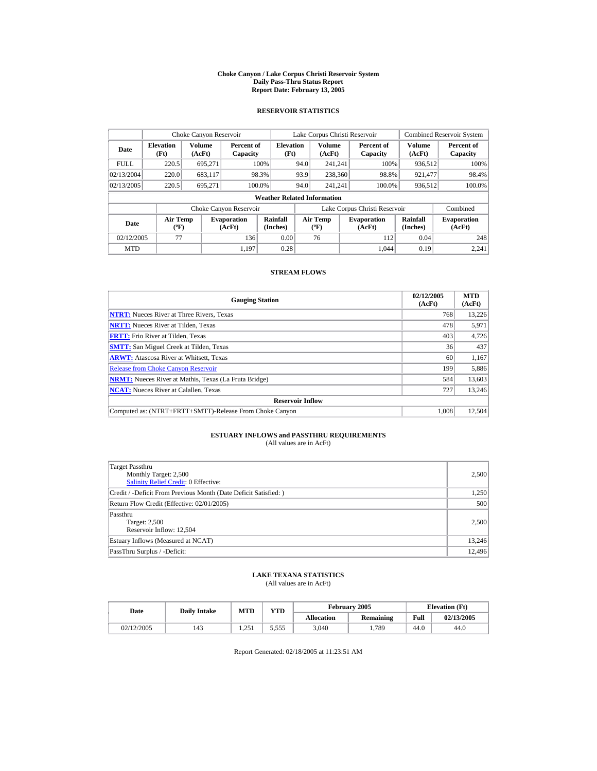#### **Choke Canyon / Lake Corpus Christi Reservoir System Daily Pass-Thru Status Report Report Date: February 13, 2005**

### **RESERVOIR STATISTICS**

| Choke Canyon Reservoir                                                              |       |                  |                        |                                    |                               | Lake Corpus Christi Reservoir     |  |                              |                      | <b>Combined Reservoir System</b> |
|-------------------------------------------------------------------------------------|-------|------------------|------------------------|------------------------------------|-------------------------------|-----------------------------------|--|------------------------------|----------------------|----------------------------------|
| <b>Elevation</b><br>Date<br>(Ft)                                                    |       | Volume<br>(AcFt) | Percent of<br>Capacity | <b>Elevation</b><br>(Ft)           |                               | Volume<br>(AcFt)                  |  | Percent of<br>Capacity       | Volume<br>(AcFt)     | Percent of<br>Capacity           |
| <b>FULL</b>                                                                         | 220.5 | 695.271          |                        | 100%                               | 94.0                          | 241.241                           |  | 100%                         | 936,512              | 100%                             |
| 02/13/2004                                                                          | 220.0 | 683.117          |                        | 98.3%                              | 93.9                          | 238,360                           |  | 98.8%                        | 921.477              | 98.4%                            |
| 02/13/2005                                                                          | 220.5 | 695.271          |                        | 100.0%                             | 94.0                          | 241.241                           |  | 100.0%                       | 936,512              | 100.0%                           |
|                                                                                     |       |                  |                        | <b>Weather Related Information</b> |                               |                                   |  |                              |                      |                                  |
|                                                                                     |       |                  | Choke Canyon Reservoir |                                    | Lake Corpus Christi Reservoir |                                   |  |                              |                      | Combined                         |
| <b>Air Temp</b><br><b>Evaporation</b><br>Date<br>$({}^{\circ}\mathrm{F})$<br>(AcFt) |       |                  |                        | Rainfall<br>(Inches)               |                               | Air Temp<br>$({}^{\circ}{\rm F})$ |  | <b>Evaporation</b><br>(AcFt) | Rainfall<br>(Inches) | <b>Evaporation</b><br>(AcFt)     |
| 02/12/2005                                                                          | 77    |                  | 136                    | 0.00                               |                               | 76                                |  | 112                          | 0.04                 | 248                              |
| <b>MTD</b>                                                                          |       |                  | 1.197                  | 0.28                               |                               |                                   |  | 1.044                        | 0.19                 | 2.241                            |

### **STREAM FLOWS**

| <b>Gauging Station</b>                                       | 02/12/2005<br>(AcFt) | <b>MTD</b><br>(AcFt) |
|--------------------------------------------------------------|----------------------|----------------------|
| <b>NTRT:</b> Nueces River at Three Rivers, Texas             | 768                  | 13,226               |
| <b>NRTT:</b> Nueces River at Tilden, Texas                   | 478                  | 5,971                |
| <b>FRTT:</b> Frio River at Tilden, Texas                     | 403                  | 4,726                |
| <b>SMTT:</b> San Miguel Creek at Tilden, Texas               | 36                   | 437                  |
| <b>ARWT:</b> Atascosa River at Whitsett, Texas               | 60                   | 1,167                |
| <b>Release from Choke Canvon Reservoir</b>                   | 199                  | 5,886                |
| <b>NRMT:</b> Nueces River at Mathis, Texas (La Fruta Bridge) | 584                  | 13,603               |
| <b>NCAT:</b> Nueces River at Calallen, Texas                 | 727                  | 13,246               |
| <b>Reservoir Inflow</b>                                      |                      |                      |
| Computed as: (NTRT+FRTT+SMTT)-Release From Choke Canyon      | 1.008                | 12.504               |

# **ESTUARY INFLOWS and PASSTHRU REQUIREMENTS**<br>(All values are in AcFt)

| Target Passthru<br>Monthly Target: 2,500<br><b>Salinity Relief Credit: 0 Effective:</b> | 2,500  |
|-----------------------------------------------------------------------------------------|--------|
| Credit / -Deficit From Previous Month (Date Deficit Satisfied:)                         | 1,250  |
| Return Flow Credit (Effective: 02/01/2005)                                              | 500    |
| Passthru<br>Target: 2,500<br>Reservoir Inflow: 12,504                                   | 2,500  |
| Estuary Inflows (Measured at NCAT)                                                      | 13,246 |
| PassThru Surplus / -Deficit:                                                            | 12,496 |

## **LAKE TEXANA STATISTICS**

(All values are in AcFt)

| Date       | <b>Daily Intake</b> | <b>MTD</b>   | <b>YTD</b> |                   | February 2005 |      | <b>Elevation</b> (Ft) |
|------------|---------------------|--------------|------------|-------------------|---------------|------|-----------------------|
|            |                     |              |            | <b>Allocation</b> | Remaining     | Full | 02/13/2005            |
| 02/12/2005 | 143                 | 251<br>1.231 | 5.555      | 3,040             | .789          | 44.0 | 44.0                  |

Report Generated: 02/18/2005 at 11:23:51 AM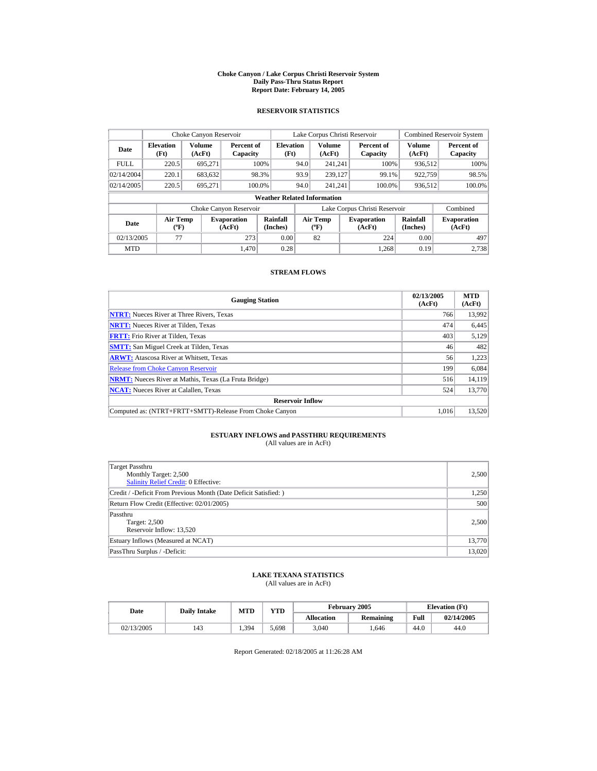#### **Choke Canyon / Lake Corpus Christi Reservoir System Daily Pass-Thru Status Report Report Date: February 14, 2005**

### **RESERVOIR STATISTICS**

|                                  | Choke Canyon Reservoir                |                  |                              |                                    |      | Lake Corpus Christi Reservoir                    |                               |                      | <b>Combined Reservoir System</b> |
|----------------------------------|---------------------------------------|------------------|------------------------------|------------------------------------|------|--------------------------------------------------|-------------------------------|----------------------|----------------------------------|
| <b>Elevation</b><br>Date<br>(Ft) |                                       | Volume<br>(AcFt) | Percent of<br>Capacity       | <b>Elevation</b><br>(Ft)           |      | <b>Volume</b><br>(AcFt)                          | Percent of<br>Capacity        | Volume<br>(AcFt)     | Percent of<br>Capacity           |
| <b>FULL</b>                      | 220.5                                 | 695.271          |                              | 100%                               | 94.0 | 241.241                                          | 100%                          | 936.512              | 100%                             |
| 02/14/2004                       | 220.1                                 | 683,632          |                              | 98.3%                              | 93.9 | 239,127                                          | 99.1%                         | 922.759              | 98.5%                            |
| 02/14/2005                       | 220.5                                 | 695.271          | 100.0%                       |                                    | 94.0 | 241.241                                          | 100.0%                        | 936,512              | 100.0%                           |
|                                  |                                       |                  |                              | <b>Weather Related Information</b> |      |                                                  |                               |                      |                                  |
|                                  |                                       |                  | Choke Canyon Reservoir       |                                    |      |                                                  | Lake Corpus Christi Reservoir |                      | Combined                         |
| Date                             | <b>Air Temp</b><br>$({}^o\mathrm{F})$ |                  | <b>Evaporation</b><br>(AcFt) | Rainfall<br>(Inches)               |      | <b>Air Temp</b><br>$({}^{\mathrm{o}}\mathrm{F})$ | <b>Evaporation</b><br>(AcFt)  | Rainfall<br>(Inches) | <b>Evaporation</b><br>(AcFt)     |
| 02/13/2005                       | 77                                    |                  | 273                          | 0.00                               |      | 82                                               | 224                           | 0.00                 | 497                              |
| <b>MTD</b>                       |                                       |                  | 1.470                        | 0.28                               |      |                                                  | 1.268                         | 0.19                 | 2.738                            |

### **STREAM FLOWS**

| <b>Gauging Station</b>                                       | 02/13/2005<br>(AcFt) | <b>MTD</b><br>(AcFt) |
|--------------------------------------------------------------|----------------------|----------------------|
| <b>NTRT:</b> Nueces River at Three Rivers, Texas             | 766                  | 13,992               |
| <b>NRTT:</b> Nueces River at Tilden, Texas                   | 474                  | 6,445                |
| <b>FRTT:</b> Frio River at Tilden, Texas                     | 403                  | 5,129                |
| <b>SMTT:</b> San Miguel Creek at Tilden, Texas               | 46                   | 482                  |
| <b>ARWT:</b> Atascosa River at Whitsett, Texas               | 56                   | 1.223                |
| <b>Release from Choke Canvon Reservoir</b>                   | 199                  | 6.084                |
| <b>NRMT:</b> Nueces River at Mathis, Texas (La Fruta Bridge) | 516                  | 14,119               |
| <b>NCAT:</b> Nueces River at Calallen, Texas                 | 524                  | 13,770               |
| <b>Reservoir Inflow</b>                                      |                      |                      |
| Computed as: (NTRT+FRTT+SMTT)-Release From Choke Canyon      | 1.016                | 13.520               |

# **ESTUARY INFLOWS and PASSTHRU REQUIREMENTS**<br>(All values are in AcFt)

| <b>Target Passthru</b><br>Monthly Target: 2,500<br>Salinity Relief Credit: 0 Effective: | 2,500  |
|-----------------------------------------------------------------------------------------|--------|
| Credit / -Deficit From Previous Month (Date Deficit Satisfied:)                         | 1,250  |
| Return Flow Credit (Effective: 02/01/2005)                                              | 500    |
| Passthru<br>Target: 2,500<br>Reservoir Inflow: 13,520                                   | 2,500  |
| Estuary Inflows (Measured at NCAT)                                                      | 13,770 |
| PassThru Surplus / -Deficit:                                                            | 13,020 |

## **LAKE TEXANA STATISTICS**

(All values are in AcFt)

| Date       | <b>Daily Intake</b> | <b>MTD</b> | <b>VTD</b> |                   | February 2005 | <b>Elevation</b> (Ft) |            |
|------------|---------------------|------------|------------|-------------------|---------------|-----------------------|------------|
|            |                     |            |            | <b>Allocation</b> | Remaining     | Full                  | 02/14/2005 |
| 02/13/2005 | 143                 | 1.394      | -698. د    | 3,040             | .646          | 44.0                  | 44.0       |

Report Generated: 02/18/2005 at 11:26:28 AM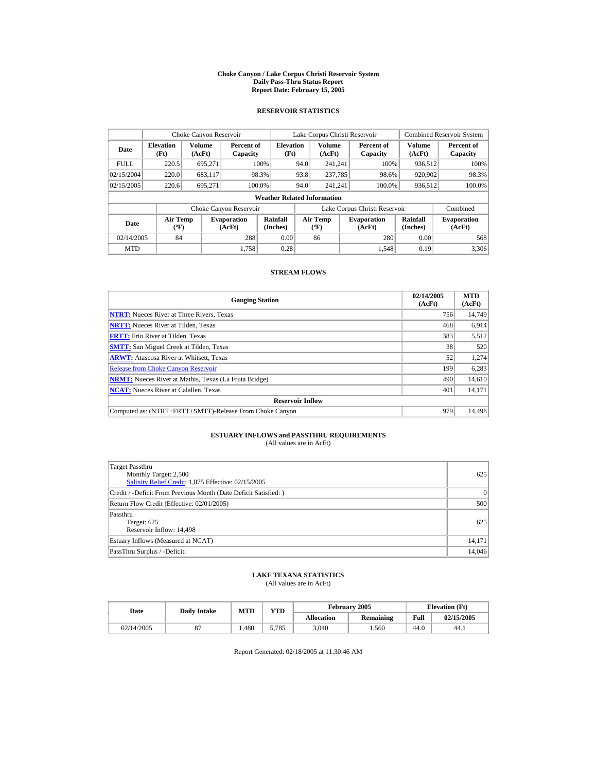#### **Choke Canyon / Lake Corpus Christi Reservoir System Daily Pass-Thru Status Report Report Date: February 15, 2005**

### **RESERVOIR STATISTICS**

|                                                             | Choke Canyon Reservoir                      |         |                              |                                    |      | Lake Corpus Christi Reservoir     |                               |                         | <b>Combined Reservoir System</b> |
|-------------------------------------------------------------|---------------------------------------------|---------|------------------------------|------------------------------------|------|-----------------------------------|-------------------------------|-------------------------|----------------------------------|
| <b>Volume</b><br><b>Elevation</b><br>Date<br>(AcFt)<br>(Ft) |                                             |         | Percent of<br>Capacity       | <b>Elevation</b><br>(Ft)           |      | <b>Volume</b><br>(AcFt)           | Percent of<br>Capacity        | <b>Volume</b><br>(AcFt) | Percent of<br>Capacity           |
| <b>FULL</b>                                                 | 220.5                                       | 695.271 |                              | 100%                               | 94.0 | 241.241                           | 100%                          | 936,512                 | 100%                             |
| 02/15/2004                                                  | 220.0                                       | 683,117 |                              | 98.3%                              | 93.8 | 237,785                           | 98.6%                         | 920,902                 | 98.3%                            |
| 02/15/2005                                                  | 220.6                                       | 695.271 |                              | 100.0%                             | 94.0 | 241.241                           | 100.0%                        | 936,512                 | 100.0%                           |
|                                                             |                                             |         |                              | <b>Weather Related Information</b> |      |                                   |                               |                         |                                  |
|                                                             |                                             |         | Choke Canyon Reservoir       |                                    |      |                                   | Lake Corpus Christi Reservoir |                         | Combined                         |
| Date                                                        | <b>Air Temp</b><br>$({}^{\circ}\mathrm{F})$ |         | <b>Evaporation</b><br>(AcFt) | Rainfall<br>(Inches)               |      | Air Temp<br>$({}^{\circ}{\rm F})$ | <b>Evaporation</b><br>(AcFt)  | Rainfall<br>(Inches)    | <b>Evaporation</b><br>(AcFt)     |
| 02/14/2005                                                  | 84                                          |         | 288                          | 0.00                               |      | 86                                | 280                           | 0.00                    | 568                              |
| <b>MTD</b>                                                  |                                             |         | 1.758                        | 0.28                               |      |                                   | 1.548                         | 0.19                    | 3,306                            |

### **STREAM FLOWS**

| <b>Gauging Station</b>                                       | 02/14/2005<br>(AcFt) | <b>MTD</b><br>(AcFt) |
|--------------------------------------------------------------|----------------------|----------------------|
| <b>NTRT:</b> Nueces River at Three Rivers, Texas             | 756                  | 14,749               |
| <b>NRTT:</b> Nueces River at Tilden, Texas                   | 468                  | 6,914                |
| <b>FRTT:</b> Frio River at Tilden, Texas                     | 383                  | 5,512                |
| <b>SMTT:</b> San Miguel Creek at Tilden, Texas               | 38                   | 520                  |
| <b>ARWT:</b> Atascosa River at Whitsett, Texas               | 52                   | 1,274                |
| <b>Release from Choke Canyon Reservoir</b>                   | 199                  | 6,283                |
| <b>NRMT:</b> Nueces River at Mathis, Texas (La Fruta Bridge) | 490                  | 14,610               |
| <b>NCAT:</b> Nueces River at Calallen, Texas                 | 401                  | 14,171               |
| <b>Reservoir Inflow</b>                                      |                      |                      |
| Computed as: (NTRT+FRTT+SMTT)-Release From Choke Canyon      | 979                  | 14.498               |

# **ESTUARY INFLOWS and PASSTHRU REQUIREMENTS**<br>(All values are in AcFt)

| Target Passthru<br>Monthly Target: 2,500<br>Salinity Relief Credit: 1,875 Effective: 02/15/2005 | 625    |
|-------------------------------------------------------------------------------------------------|--------|
| Credit / -Deficit From Previous Month (Date Deficit Satisfied:)                                 | 0      |
| Return Flow Credit (Effective: 02/01/2005)                                                      | 500    |
| Passthru<br>Target: 625<br>Reservoir Inflow: 14,498                                             | 625    |
| Estuary Inflows (Measured at NCAT)                                                              | 14,171 |
| PassThru Surplus / -Deficit:                                                                    | 14,046 |

## **LAKE TEXANA STATISTICS**

(All values are in AcFt)

| Date       | <b>Daily Intake</b> | MTD  | <b>VTD</b> |                   | February 2005 |      | <b>Elevation</b> (Ft) |
|------------|---------------------|------|------------|-------------------|---------------|------|-----------------------|
|            |                     |      |            | <b>Allocation</b> | Remaining     | Full | 02/15/2005            |
| 02/14/2005 |                     | .480 | 5.785      | 3.040             | .560          | 44.0 | 44.1                  |

Report Generated: 02/18/2005 at 11:30:46 AM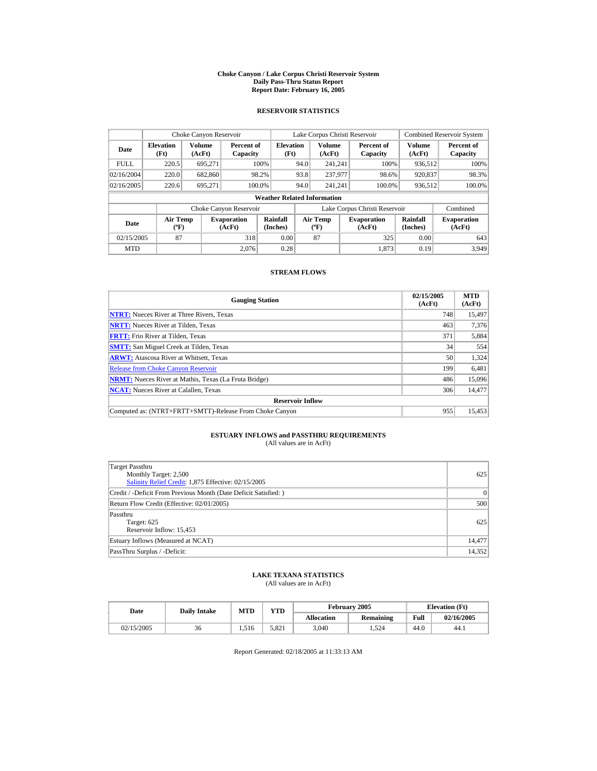#### **Choke Canyon / Lake Corpus Christi Reservoir System Daily Pass-Thru Status Report Report Date: February 16, 2005**

### **RESERVOIR STATISTICS**

|                                                                                     | Choke Canyon Reservoir |                      |                        |                                          |                              | Lake Corpus Christi Reservoir |                               |                  | <b>Combined Reservoir System</b> |
|-------------------------------------------------------------------------------------|------------------------|----------------------|------------------------|------------------------------------------|------------------------------|-------------------------------|-------------------------------|------------------|----------------------------------|
| Volume<br><b>Elevation</b><br>Date<br>(AcFt)<br>(Ft)                                |                        |                      | Percent of<br>Capacity | <b>Elevation</b><br>(Ft)                 |                              | <b>Volume</b><br>(AcFt)       | Percent of<br>Capacity        | Volume<br>(AcFt) | Percent of<br>Capacity           |
| <b>FULL</b>                                                                         | 220.5                  | 695.271              |                        | 100%                                     | 94.0                         | 241.241                       | 100%                          | 936.512          | 100%                             |
| 02/16/2004                                                                          | 220.0                  | 682,860              |                        | 98.2%                                    | 93.8                         | 237,977                       | 98.6%                         | 920,837          | 98.3%                            |
| 02/16/2005                                                                          | 220.6                  | 695.271              |                        | 100.0%                                   | 94.0                         | 241.241                       | 100.0%                        | 936,512          | 100.0%                           |
|                                                                                     |                        |                      |                        | <b>Weather Related Information</b>       |                              |                               |                               |                  |                                  |
|                                                                                     |                        |                      | Choke Canyon Reservoir |                                          |                              |                               | Lake Corpus Christi Reservoir |                  | Combined                         |
| <b>Air Temp</b><br><b>Evaporation</b><br>Date<br>$({}^{\circ}\mathrm{F})$<br>(AcFt) |                        | Rainfall<br>(Inches) |                        | <b>Air Temp</b><br>$({}^{\circ}{\rm F})$ | <b>Evaporation</b><br>(AcFt) | Rainfall<br>(Inches)          | <b>Evaporation</b><br>(AcFt)  |                  |                                  |
| 87<br>02/15/2005<br>318                                                             |                        | 0.00                 |                        | 87                                       | 325                          | 0.00                          | 643                           |                  |                                  |
| <b>MTD</b>                                                                          |                        |                      | 2.076                  | 0.28                                     |                              |                               | 1.873                         | 0.19             | 3.949                            |

### **STREAM FLOWS**

| <b>Gauging Station</b>                                       | 02/15/2005<br>(AcFt) | <b>MTD</b><br>(AcFt) |
|--------------------------------------------------------------|----------------------|----------------------|
| <b>NTRT:</b> Nueces River at Three Rivers, Texas             | 748                  | 15,497               |
| <b>NRTT:</b> Nueces River at Tilden, Texas                   | 463                  | 7.376                |
| <b>FRTT:</b> Frio River at Tilden, Texas                     | 371                  | 5,884                |
| <b>SMTT:</b> San Miguel Creek at Tilden, Texas               | 34                   | 554                  |
| <b>ARWT:</b> Atascosa River at Whitsett, Texas               | 50                   | 1.324                |
| <b>Release from Choke Canvon Reservoir</b>                   | 199                  | 6,481                |
| <b>NRMT:</b> Nueces River at Mathis, Texas (La Fruta Bridge) | 486                  | 15,096               |
| <b>NCAT:</b> Nueces River at Calallen, Texas                 | 306                  | 14,477               |
| <b>Reservoir Inflow</b>                                      |                      |                      |
| Computed as: (NTRT+FRTT+SMTT)-Release From Choke Canyon      | 955                  | 15.453               |

# **ESTUARY INFLOWS and PASSTHRU REQUIREMENTS**<br>(All values are in AcFt)

| Target Passthru<br>Monthly Target: 2,500<br>Salinity Relief Credit: 1,875 Effective: 02/15/2005 | 625    |
|-------------------------------------------------------------------------------------------------|--------|
| Credit / -Deficit From Previous Month (Date Deficit Satisfied: )                                | 0      |
| Return Flow Credit (Effective: 02/01/2005)                                                      | 500    |
| Passthru<br>Target: 625<br>Reservoir Inflow: 15,453                                             | 625    |
| Estuary Inflows (Measured at NCAT)                                                              | 14,477 |
| PassThru Surplus / -Deficit:                                                                    | 14,352 |

### **LAKE TEXANA STATISTICS**

(All values are in AcFt)

| Date       | <b>Daily Intake</b> | <b>MTD</b> | VTD-  |                   | February 2005 |      | <b>Elevation</b> (Ft) |
|------------|---------------------|------------|-------|-------------------|---------------|------|-----------------------|
|            |                     |            |       | <b>Allocation</b> | Remaining     | Full | 02/16/2005            |
| 02/15/2005 | 36                  | 1.516      | 5.821 | 3,040             | . . 524       | 44.0 | 44.1                  |

Report Generated: 02/18/2005 at 11:33:13 AM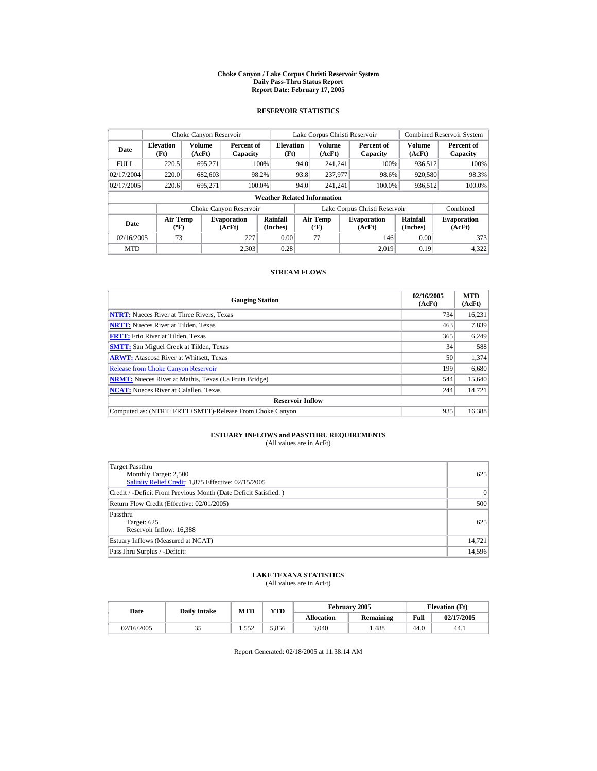#### **Choke Canyon / Lake Corpus Christi Reservoir System Daily Pass-Thru Status Report Report Date: February 17, 2005**

### **RESERVOIR STATISTICS**

|                                                                                     | Choke Canyon Reservoir |                  |                        |                                    |                                          | Lake Corpus Christi Reservoir |                               |                              | <b>Combined Reservoir System</b> |
|-------------------------------------------------------------------------------------|------------------------|------------------|------------------------|------------------------------------|------------------------------------------|-------------------------------|-------------------------------|------------------------------|----------------------------------|
| <b>Elevation</b><br>Date<br>(Ft)                                                    |                        | Volume<br>(AcFt) | Percent of<br>Capacity | <b>Elevation</b><br>(Ft)           |                                          | <b>Volume</b><br>(AcFt)       | Percent of<br>Capacity        | Volume<br>(AcFt)             | Percent of<br>Capacity           |
| <b>FULL</b>                                                                         | 220.5                  | 695.271          |                        | 100%                               | 94.0                                     | 241.241                       | 100%                          | 936.512                      | 100%                             |
| 02/17/2004                                                                          | 220.0                  | 682,603          |                        | 98.2%                              | 93.8                                     | 237,977                       | 98.6%                         | 920,580                      | 98.3%                            |
| 02/17/2005                                                                          | 220.6                  | 695.271          |                        | 100.0%                             | 94.0                                     | 241.241                       | 100.0%                        | 936,512                      | 100.0%                           |
|                                                                                     |                        |                  |                        | <b>Weather Related Information</b> |                                          |                               |                               |                              |                                  |
|                                                                                     |                        |                  | Choke Canyon Reservoir |                                    |                                          |                               | Lake Corpus Christi Reservoir |                              | Combined                         |
| <b>Air Temp</b><br><b>Evaporation</b><br>Date<br>$({}^{\circ}\mathrm{F})$<br>(AcFt) |                        |                  | Rainfall<br>(Inches)   |                                    | <b>Air Temp</b><br>$({}^{\circ}{\rm F})$ | <b>Evaporation</b><br>(AcFt)  | Rainfall<br>(Inches)          | <b>Evaporation</b><br>(AcFt) |                                  |
| 73<br>227<br>02/16/2005                                                             |                        | 0.00             |                        | 77                                 | 146                                      | 0.00                          | 373                           |                              |                                  |
| <b>MTD</b>                                                                          |                        |                  | 2.303                  | 0.28                               |                                          |                               | 2.019                         | 0.19                         | 4.322                            |

### **STREAM FLOWS**

| <b>Gauging Station</b>                                       | 02/16/2005<br>(AcFt) | <b>MTD</b><br>(AcFt) |
|--------------------------------------------------------------|----------------------|----------------------|
| <b>NTRT:</b> Nueces River at Three Rivers, Texas             | 734                  | 16,231               |
| <b>NRTT:</b> Nueces River at Tilden, Texas                   | 463                  | 7,839                |
| <b>FRTT:</b> Frio River at Tilden, Texas                     | 365                  | 6,249                |
| <b>SMTT:</b> San Miguel Creek at Tilden, Texas               | 34                   | 588                  |
| <b>ARWT:</b> Atascosa River at Whitsett, Texas               | 50                   | 1,374                |
| <b>Release from Choke Canvon Reservoir</b>                   | 199                  | 6,680                |
| <b>NRMT:</b> Nueces River at Mathis, Texas (La Fruta Bridge) | 544                  | 15,640               |
| <b>NCAT:</b> Nueces River at Calallen, Texas                 | 244                  | 14,721               |
| <b>Reservoir Inflow</b>                                      |                      |                      |
| Computed as: (NTRT+FRTT+SMTT)-Release From Choke Canyon      | 935                  | 16.388               |

# **ESTUARY INFLOWS and PASSTHRU REQUIREMENTS**<br>(All values are in AcFt)

| <b>Target Passthru</b><br>Monthly Target: 2,500<br>Salinity Relief Credit: 1,875 Effective: 02/15/2005 | 625       |
|--------------------------------------------------------------------------------------------------------|-----------|
| Credit / -Deficit From Previous Month (Date Deficit Satisfied:)                                        | $\vert$ 0 |
| Return Flow Credit (Effective: 02/01/2005)                                                             | 500       |
| Passthru<br>Target: 625<br>Reservoir Inflow: 16,388                                                    | 625       |
| Estuary Inflows (Measured at NCAT)                                                                     | 14,721    |
| PassThru Surplus / -Deficit:                                                                           | 14,596    |

## **LAKE TEXANA STATISTICS**

(All values are in AcFt)

| Date       | <b>Daily Intake</b> | <b>MTD</b> | $_{\rm VTD}$ |                   | February 2005 |      | <b>Elevation</b> (Ft) |
|------------|---------------------|------------|--------------|-------------------|---------------|------|-----------------------|
|            |                     |            |              | <b>Allocation</b> | Remaining     | Full | 02/17/2005            |
| 02/16/2005 | ر ر                 | 1.552      | 5.856        | 3,040             | .488          | 44.0 | 44.1                  |

Report Generated: 02/18/2005 at 11:38:14 AM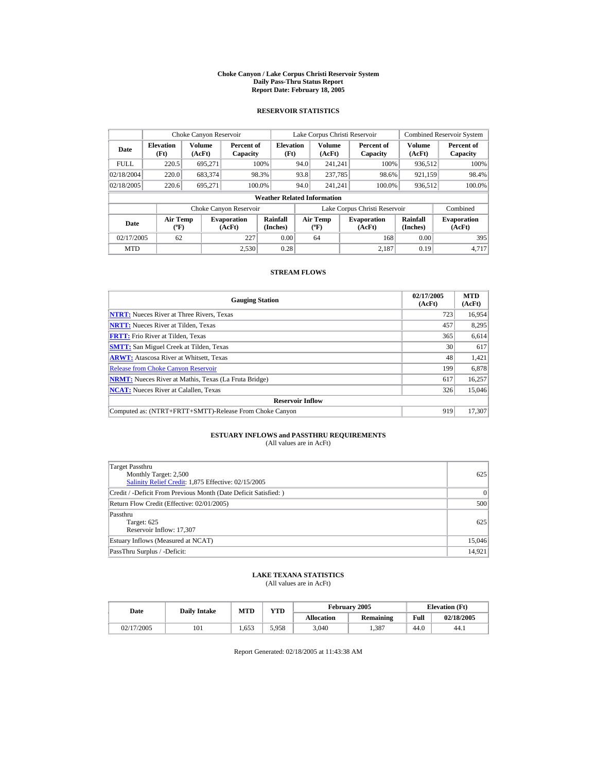#### **Choke Canyon / Lake Corpus Christi Reservoir System Daily Pass-Thru Status Report Report Date: February 18, 2005**

### **RESERVOIR STATISTICS**

|                                                                                     | Choke Canyon Reservoir |                  |                        |                                    |                                          | Lake Corpus Christi Reservoir |                               |                              | <b>Combined Reservoir System</b> |
|-------------------------------------------------------------------------------------|------------------------|------------------|------------------------|------------------------------------|------------------------------------------|-------------------------------|-------------------------------|------------------------------|----------------------------------|
| <b>Elevation</b><br>Date<br>(Ft)                                                    |                        | Volume<br>(AcFt) | Percent of<br>Capacity | <b>Elevation</b><br>(Ft)           |                                          | <b>Volume</b><br>(AcFt)       | Percent of<br>Capacity        | Volume<br>(AcFt)             | Percent of<br>Capacity           |
| <b>FULL</b>                                                                         | 220.5                  | 695.271          |                        | 100%                               | 94.0                                     | 241.241                       | 100%                          | 936.512                      | 100%                             |
| 02/18/2004                                                                          | 220.0                  | 683,374          |                        | 98.3%                              | 93.8                                     | 237,785                       | 98.6%                         | 921,159                      | 98.4%                            |
| 02/18/2005                                                                          | 220.6                  | 695.271          |                        | 100.0%                             | 94.0                                     | 241.241                       | 100.0%                        | 936,512                      | 100.0%                           |
|                                                                                     |                        |                  |                        | <b>Weather Related Information</b> |                                          |                               |                               |                              |                                  |
|                                                                                     |                        |                  | Choke Canyon Reservoir |                                    |                                          |                               | Lake Corpus Christi Reservoir |                              | Combined                         |
| <b>Air Temp</b><br><b>Evaporation</b><br>Date<br>$({}^{\circ}\mathrm{F})$<br>(AcFt) |                        |                  | Rainfall<br>(Inches)   |                                    | <b>Air Temp</b><br>$({}^{\circ}{\rm F})$ | <b>Evaporation</b><br>(AcFt)  | Rainfall<br>(Inches)          | <b>Evaporation</b><br>(AcFt) |                                  |
| 02/17/2005<br>227<br>62                                                             |                        | 0.00             |                        | 64                                 | 168                                      | 0.00                          | 395                           |                              |                                  |
| <b>MTD</b>                                                                          |                        |                  | 2.530                  | 0.28                               |                                          |                               | 2.187                         | 0.19                         | 4.717                            |

### **STREAM FLOWS**

| <b>Gauging Station</b>                                       | 02/17/2005<br>(AcFt) | <b>MTD</b><br>(AcFt) |
|--------------------------------------------------------------|----------------------|----------------------|
| <b>NTRT:</b> Nueces River at Three Rivers, Texas             | 723                  | 16,954               |
| <b>NRTT:</b> Nueces River at Tilden, Texas                   | 457                  | 8.295                |
| <b>FRTT:</b> Frio River at Tilden, Texas                     | 365                  | 6,614                |
| <b>SMTT:</b> San Miguel Creek at Tilden, Texas               | 30                   | 617                  |
| <b>ARWT:</b> Atascosa River at Whitsett, Texas               | 48                   | 1,421                |
| <b>Release from Choke Canyon Reservoir</b>                   | 199                  | 6,878                |
| <b>NRMT:</b> Nueces River at Mathis, Texas (La Fruta Bridge) | 617                  | 16,257               |
| <b>NCAT:</b> Nueces River at Calallen, Texas                 | 326                  | 15,046               |
| <b>Reservoir Inflow</b>                                      |                      |                      |
| Computed as: (NTRT+FRTT+SMTT)-Release From Choke Canyon      | 919                  | 17.307               |

# **ESTUARY INFLOWS and PASSTHRU REQUIREMENTS**<br>(All values are in AcFt)

| Target Passthru<br>Monthly Target: 2,500<br>Salinity Relief Credit: 1,875 Effective: 02/15/2005 | 625    |
|-------------------------------------------------------------------------------------------------|--------|
| Credit / -Deficit From Previous Month (Date Deficit Satisfied: )                                | 0      |
| Return Flow Credit (Effective: 02/01/2005)                                                      | 500    |
| Passthru<br>Target: 625<br>Reservoir Inflow: 17,307                                             | 625    |
| Estuary Inflows (Measured at NCAT)                                                              | 15,046 |
| PassThru Surplus / -Deficit:                                                                    | 14,921 |

### **LAKE TEXANA STATISTICS**

(All values are in AcFt)

| Date       | <b>Daily Intake</b> | <b>MTD</b> | $\mathbf{v}\mathbf{T}\mathbf{D}$ |                   | <b>February 2005</b> |      | <b>Elevation</b> (Ft) |
|------------|---------------------|------------|----------------------------------|-------------------|----------------------|------|-----------------------|
|            |                     |            |                                  | <b>Allocation</b> | Remaining            | Full | 02/18/2005            |
| 02/17/2005 | 101                 | .653       | 5.958                            | 3,040             | .387                 | 44.0 | 44.1                  |

Report Generated: 02/18/2005 at 11:43:38 AM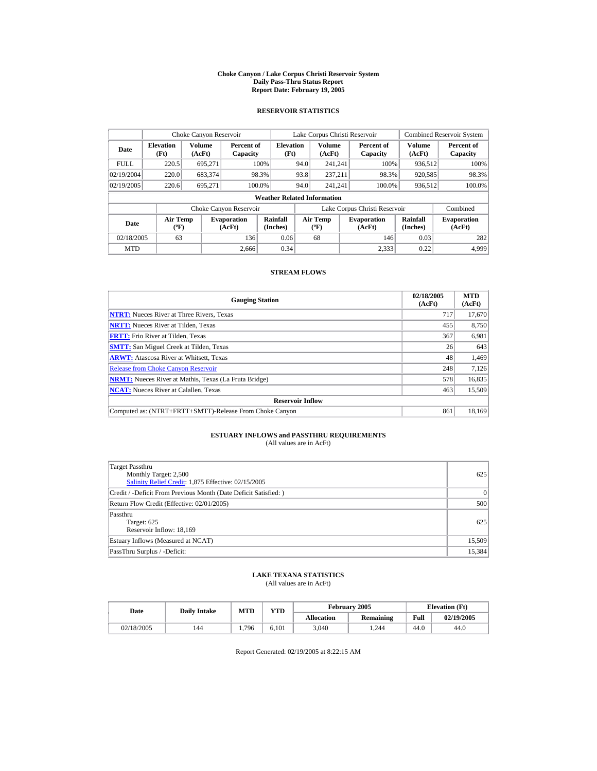#### **Choke Canyon / Lake Corpus Christi Reservoir System Daily Pass-Thru Status Report Report Date: February 19, 2005**

### **RESERVOIR STATISTICS**

|             | Choke Canyon Reservoir                      |                  |                              |                                    |      | Lake Corpus Christi Reservoir            |                                                      |                               | <b>Combined Reservoir System</b> |                        |
|-------------|---------------------------------------------|------------------|------------------------------|------------------------------------|------|------------------------------------------|------------------------------------------------------|-------------------------------|----------------------------------|------------------------|
| Date        | <b>Elevation</b><br>(Ft)                    | Volume<br>(AcFt) | Percent of<br>Capacity       | <b>Elevation</b><br>(Ft)           |      | <b>Volume</b><br>(AcFt)                  |                                                      | Percent of<br>Capacity        | Volume<br>(AcFt)                 | Percent of<br>Capacity |
| <b>FULL</b> | 220.5                                       | 695.271          |                              | 100%                               | 94.0 | 241.241                                  |                                                      | 100%                          | 936.512                          | 100%                   |
| 02/19/2004  | 220.0                                       | 683,374          |                              | 98.3%                              | 93.8 | 237.211                                  |                                                      | 98.3%                         | 920,585                          | 98.3%                  |
| 02/19/2005  | 220.6                                       | 695.271          |                              | 100.0%                             | 94.0 | 241.241                                  |                                                      | 100.0%                        | 936,512                          | 100.0%                 |
|             |                                             |                  |                              | <b>Weather Related Information</b> |      |                                          |                                                      |                               |                                  |                        |
|             |                                             |                  | Choke Canyon Reservoir       |                                    |      |                                          |                                                      | Lake Corpus Christi Reservoir |                                  | Combined               |
| Date        | <b>Air Temp</b><br>$({}^{\circ}\mathrm{F})$ |                  | <b>Evaporation</b><br>(AcFt) | Rainfall<br>(Inches)               |      | <b>Air Temp</b><br>$({}^{\circ}{\rm F})$ | Rainfall<br><b>Evaporation</b><br>(Inches)<br>(AcFt) |                               | <b>Evaporation</b><br>(AcFt)     |                        |
| 02/18/2005  | 63                                          |                  | 136                          | 0.06                               |      | 68                                       |                                                      | 146                           | 0.03                             | 282                    |
| <b>MTD</b>  |                                             |                  | 2.666                        | 0.34                               |      |                                          |                                                      | 2.333                         | 0.22                             | 4.999                  |

### **STREAM FLOWS**

| <b>Gauging Station</b>                                       | 02/18/2005<br>(AcFt) | <b>MTD</b><br>(AcFt) |
|--------------------------------------------------------------|----------------------|----------------------|
| <b>NTRT:</b> Nueces River at Three Rivers, Texas             | 717                  | 17,670               |
| <b>NRTT:</b> Nueces River at Tilden, Texas                   | 455                  | 8.750                |
| <b>FRTT:</b> Frio River at Tilden, Texas                     | 367                  | 6,981                |
| <b>SMTT:</b> San Miguel Creek at Tilden, Texas               | 26                   | 643                  |
| <b>ARWT:</b> Atascosa River at Whitsett, Texas               | 48                   | 1,469                |
| <b>Release from Choke Canyon Reservoir</b>                   | 248                  | 7.126                |
| <b>NRMT:</b> Nueces River at Mathis, Texas (La Fruta Bridge) | 578                  | 16,835               |
| <b>NCAT:</b> Nueces River at Calallen, Texas                 | 463                  | 15,509               |
| <b>Reservoir Inflow</b>                                      |                      |                      |
| Computed as: (NTRT+FRTT+SMTT)-Release From Choke Canyon      | 861                  | 18.169               |

# **ESTUARY INFLOWS and PASSTHRU REQUIREMENTS**<br>(All values are in AcFt)

| Target Passthru<br>Monthly Target: 2,500<br>Salinity Relief Credit: 1,875 Effective: 02/15/2005 | 625    |
|-------------------------------------------------------------------------------------------------|--------|
| Credit / -Deficit From Previous Month (Date Deficit Satisfied: )                                | 0      |
| Return Flow Credit (Effective: 02/01/2005)                                                      | 500    |
| Passthru<br>Target: 625<br>Reservoir Inflow: 18,169                                             | 625    |
| Estuary Inflows (Measured at NCAT)                                                              | 15,509 |
| PassThru Surplus / -Deficit:                                                                    | 15,384 |

## **LAKE TEXANA STATISTICS**

(All values are in AcFt)

| Date       | <b>Daily Intake</b> | <b>MTD</b> | $_{\rm VTD}$ |                   | February 2005 | <b>Elevation</b> (Ft) |            |
|------------|---------------------|------------|--------------|-------------------|---------------|-----------------------|------------|
|            |                     |            |              | <b>Allocation</b> | Remaining     | Full                  | 02/19/2005 |
| 02/18/2005 | 144                 | .796       | 6.101        | 3,040             | .244          | 44.0                  | 44.0       |

Report Generated: 02/19/2005 at 8:22:15 AM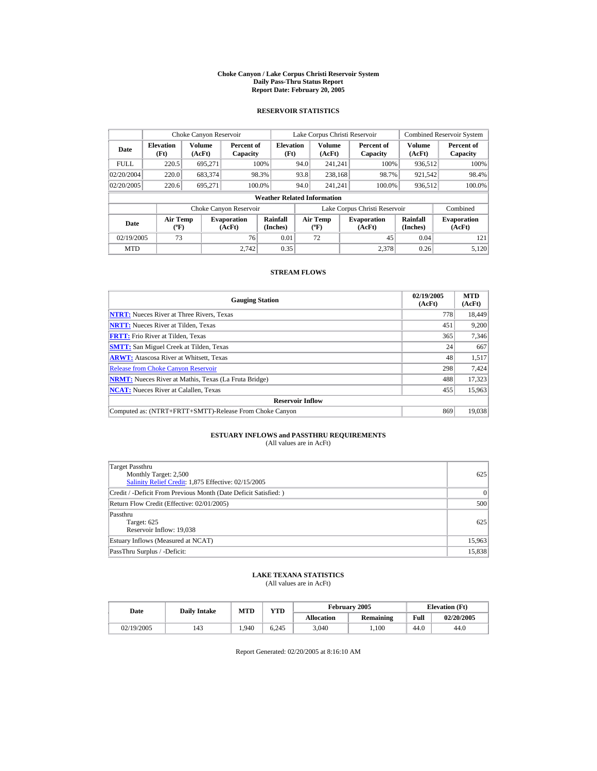#### **Choke Canyon / Lake Corpus Christi Reservoir System Daily Pass-Thru Status Report Report Date: February 20, 2005**

### **RESERVOIR STATISTICS**

| Choke Canyon Reservoir |                                             |                  |                              |                                    |      | Lake Corpus Christi Reservoir            |                                                      |                               |                              | <b>Combined Reservoir System</b> |
|------------------------|---------------------------------------------|------------------|------------------------------|------------------------------------|------|------------------------------------------|------------------------------------------------------|-------------------------------|------------------------------|----------------------------------|
| Date                   | <b>Elevation</b><br>(Ft)                    | Volume<br>(AcFt) | Percent of<br>Capacity       | <b>Elevation</b><br>(Ft)           |      | <b>Volume</b><br>(AcFt)                  |                                                      | Percent of<br>Capacity        | Volume<br>(AcFt)             | Percent of<br>Capacity           |
| <b>FULL</b>            | 220.5                                       | 695.271          |                              | 100%                               | 94.0 | 241.241                                  |                                                      | 100%                          | 936.512                      | 100%                             |
| 02/20/2004             | 220.0                                       | 683,374          |                              | 98.3%                              | 93.8 | 238,168                                  |                                                      | 98.7%                         | 921,542                      | 98.4%                            |
| 02/20/2005             | 220.6                                       | 695.271          | 100.0%                       |                                    | 94.0 | 241.241                                  |                                                      | 100.0%                        | 936,512                      | 100.0%                           |
|                        |                                             |                  |                              | <b>Weather Related Information</b> |      |                                          |                                                      |                               |                              |                                  |
|                        |                                             |                  | Choke Canyon Reservoir       |                                    |      |                                          |                                                      | Lake Corpus Christi Reservoir |                              | Combined                         |
| Date                   | <b>Air Temp</b><br>$({}^{\circ}\mathrm{F})$ |                  | <b>Evaporation</b><br>(AcFt) | Rainfall<br>(Inches)               |      | <b>Air Temp</b><br>$({}^{\circ}{\rm F})$ | Rainfall<br><b>Evaporation</b><br>(Inches)<br>(AcFt) |                               | <b>Evaporation</b><br>(AcFt) |                                  |
| 02/19/2005             | 73                                          |                  | 76                           | 0.01                               |      | 72                                       |                                                      | 45                            | 0.04                         | 121                              |
| <b>MTD</b>             |                                             |                  | 2.742                        | 0.35                               |      |                                          |                                                      | 2.378                         | 0.26                         | 5.120                            |

### **STREAM FLOWS**

| <b>Gauging Station</b>                                       | 02/19/2005<br>(AcFt) | <b>MTD</b><br>(AcFt) |
|--------------------------------------------------------------|----------------------|----------------------|
| <b>NTRT:</b> Nueces River at Three Rivers, Texas             | 778                  | 18,449               |
| <b>NRTT:</b> Nueces River at Tilden, Texas                   | 451                  | 9.200                |
| <b>FRTT:</b> Frio River at Tilden, Texas                     | 365                  | 7,346                |
| <b>SMTT:</b> San Miguel Creek at Tilden, Texas               | 24                   | 667                  |
| <b>ARWT:</b> Atascosa River at Whitsett, Texas               | 48                   | 1,517                |
| <b>Release from Choke Canvon Reservoir</b>                   | 298                  | 7.424                |
| <b>NRMT:</b> Nueces River at Mathis, Texas (La Fruta Bridge) | 488                  | 17.323               |
| <b>NCAT:</b> Nueces River at Calallen, Texas                 | 455                  | 15,963               |
| <b>Reservoir Inflow</b>                                      |                      |                      |
| Computed as: (NTRT+FRTT+SMTT)-Release From Choke Canyon      | 869                  | 19.038               |

# **ESTUARY INFLOWS and PASSTHRU REQUIREMENTS**<br>(All values are in AcFt)

| Target Passthru<br>Monthly Target: 2,500<br>Salinity Relief Credit: 1,875 Effective: 02/15/2005 | 625    |
|-------------------------------------------------------------------------------------------------|--------|
| Credit / -Deficit From Previous Month (Date Deficit Satisfied:)                                 | 0      |
| Return Flow Credit (Effective: 02/01/2005)                                                      | 500    |
| Passthru<br>Target: 625<br>Reservoir Inflow: 19,038                                             | 625    |
| Estuary Inflows (Measured at NCAT)                                                              | 15,963 |
| PassThru Surplus / -Deficit:                                                                    | 15,838 |

## **LAKE TEXANA STATISTICS**

(All values are in AcFt)

| Date       | <b>Daily Intake</b> | MTD   | VTD   |                   | February 2005 |      | <b>Elevation</b> (Ft) |
|------------|---------------------|-------|-------|-------------------|---------------|------|-----------------------|
|            |                     |       |       | <b>Allocation</b> | Remaining     | Full | 02/20/2005            |
| 02/19/2005 | 143                 | 1.940 | 6.245 | 3.040             | .100          | 44.0 | 44.0                  |

Report Generated: 02/20/2005 at 8:16:10 AM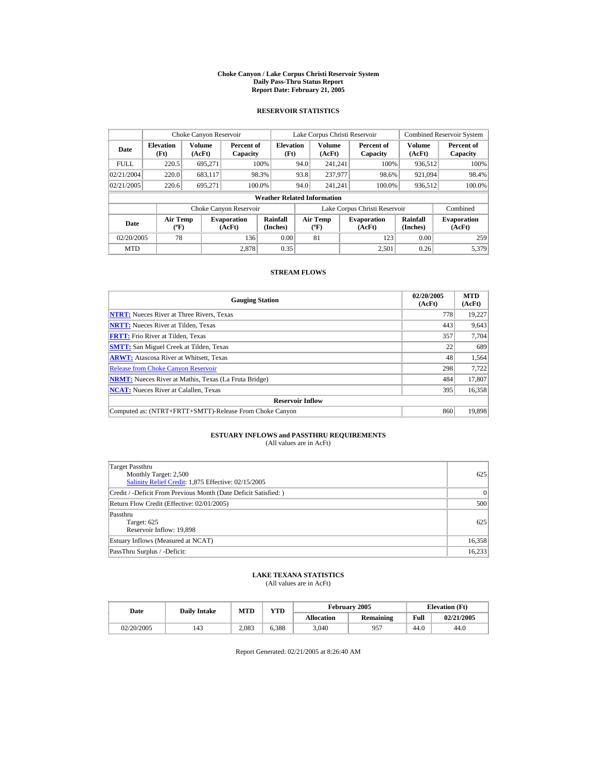#### **Choke Canyon / Lake Corpus Christi Reservoir System Daily Pass-Thru Status Report Report Date: February 21, 2005**

### **RESERVOIR STATISTICS**

|             | Choke Canyon Reservoir                      |                  |                              |                                    |      | Lake Corpus Christi Reservoir    |                               |                             | <b>Combined Reservoir System</b> |
|-------------|---------------------------------------------|------------------|------------------------------|------------------------------------|------|----------------------------------|-------------------------------|-----------------------------|----------------------------------|
| Date        | <b>Elevation</b><br>(Ft)                    | Volume<br>(AcFt) | Percent of<br>Capacity       | <b>Elevation</b><br>(Ft)           |      | Volume<br>(AcFt)                 | Percent of<br>Capacity        | Volume<br>(AcFt)            | Percent of<br>Capacity           |
| <b>FULL</b> | 220.5                                       | 695.271          |                              | 100%                               | 94.0 | 241.241                          | 100%                          | 936,512                     | 100%                             |
| 02/21/2004  | 220.0                                       | 683,117          |                              | 98.3%                              | 93.8 | 237,977                          | 98.6%                         | 921,094                     | 98.4%                            |
| 02/21/2005  | 220.6                                       | 695.271          | 100.0%                       |                                    | 94.0 | 241.241                          | 100.0%                        | 936,512                     | 100.0%                           |
|             |                                             |                  |                              | <b>Weather Related Information</b> |      |                                  |                               |                             |                                  |
|             |                                             |                  | Choke Canyon Reservoir       |                                    |      |                                  | Lake Corpus Christi Reservoir |                             | Combined                         |
| Date        | <b>Air Temp</b><br>$({}^{\circ}\mathrm{F})$ |                  | <b>Evaporation</b><br>(AcFt) | Rainfall<br>(Inches)               |      | <b>Air Temp</b><br>$(^{\circ}F)$ | <b>Evaporation</b><br>(AcFt)  | <b>Rainfall</b><br>(Inches) | <b>Evaporation</b><br>(AcFt)     |
| 02/20/2005  | 78                                          |                  | 136                          | 0.00                               |      | 81                               | 123                           | 0.00                        | 259                              |
| <b>MTD</b>  |                                             |                  | 2.878                        | 0.35                               |      |                                  | 2.501                         | 0.26                        | 5.379                            |

### **STREAM FLOWS**

| <b>Gauging Station</b>                                       | 02/20/2005<br>(AcFt) | <b>MTD</b><br>(AcFt) |
|--------------------------------------------------------------|----------------------|----------------------|
| <b>NTRT:</b> Nueces River at Three Rivers, Texas             | 778                  | 19,227               |
| <b>NRTT:</b> Nueces River at Tilden, Texas                   | 443                  | 9,643                |
| <b>FRTT:</b> Frio River at Tilden, Texas                     | 357                  | 7,704                |
| <b>SMTT:</b> San Miguel Creek at Tilden, Texas               | 22                   | 689                  |
| <b>ARWT:</b> Atascosa River at Whitsett, Texas               | 48                   | 1,564                |
| <b>Release from Choke Canyon Reservoir</b>                   | 298                  | 7.722                |
| <b>NRMT:</b> Nueces River at Mathis, Texas (La Fruta Bridge) | 484                  | 17,807               |
| <b>NCAT:</b> Nueces River at Calallen, Texas                 | 395                  | 16,358               |
| <b>Reservoir Inflow</b>                                      |                      |                      |
| Computed as: (NTRT+FRTT+SMTT)-Release From Choke Canyon      | 860                  | 19.898               |

# **ESTUARY INFLOWS and PASSTHRU REQUIREMENTS**<br>(All values are in AcFt)

| Target Passthru<br>Monthly Target: 2,500<br>Salinity Relief Credit: 1,875 Effective: 02/15/2005 | 625    |
|-------------------------------------------------------------------------------------------------|--------|
| Credit / -Deficit From Previous Month (Date Deficit Satisfied:)                                 | 0      |
| Return Flow Credit (Effective: 02/01/2005)                                                      | 500    |
| Passthru<br>Target: 625<br>Reservoir Inflow: 19,898                                             | 625    |
| Estuary Inflows (Measured at NCAT)                                                              | 16,358 |
| PassThru Surplus / -Deficit:                                                                    | 16,233 |

## **LAKE TEXANA STATISTICS**

(All values are in AcFt)

| Date       | <b>Daily Intake</b> | MTD   |       |                   | February 2005 | <b>Elevation</b> (Ft) |            |
|------------|---------------------|-------|-------|-------------------|---------------|-----------------------|------------|
|            |                     |       | VTD   | <b>Allocation</b> | Remaining     | Full                  | 02/21/2005 |
| 02/20/2005 | 143                 | 2.083 | 6.388 | 3.040             | 957           | 44.0                  | 44.0       |

Report Generated: 02/21/2005 at 8:26:40 AM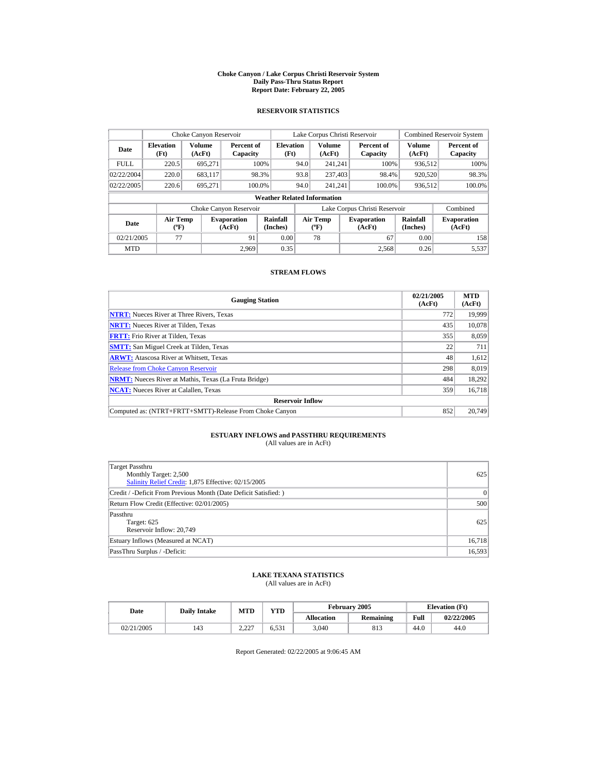#### **Choke Canyon / Lake Corpus Christi Reservoir System Daily Pass-Thru Status Report Report Date: February 22, 2005**

### **RESERVOIR STATISTICS**

| Choke Canyon Reservoir                                                              |       |                  |                        |                                    |                                   | Lake Corpus Christi Reservoir |                               |                              | <b>Combined Reservoir System</b> |
|-------------------------------------------------------------------------------------|-------|------------------|------------------------|------------------------------------|-----------------------------------|-------------------------------|-------------------------------|------------------------------|----------------------------------|
| <b>Elevation</b><br>Date<br>(Ft)                                                    |       | Volume<br>(AcFt) | Percent of<br>Capacity | <b>Elevation</b><br>(Ft)           |                                   | Volume<br>(AcFt)              | Percent of<br>Capacity        | Volume<br>(AcFt)             | Percent of<br>Capacity           |
| <b>FULL</b>                                                                         | 220.5 | 695.271          |                        | 100%                               | 94.0                              | 241.241                       | 100%                          | 936,512                      | 100%                             |
| 02/22/2004                                                                          | 220.0 | 683.117          |                        | 98.3%                              | 93.8                              | 237,403                       | 98.4%                         | 920,520                      | 98.3%                            |
| 02/22/2005                                                                          | 220.6 | 695.271          |                        | 100.0%                             | 94.0                              | 241.241                       | 100.0%                        | 936,512                      | 100.0%                           |
|                                                                                     |       |                  |                        | <b>Weather Related Information</b> |                                   |                               |                               |                              |                                  |
|                                                                                     |       |                  | Choke Canyon Reservoir |                                    |                                   |                               | Lake Corpus Christi Reservoir |                              | Combined                         |
| <b>Air Temp</b><br><b>Evaporation</b><br>Date<br>$({}^{\circ}\mathrm{F})$<br>(AcFt) |       |                  | Rainfall<br>(Inches)   |                                    | Air Temp<br>$({}^{\circ}{\rm F})$ | <b>Evaporation</b><br>(AcFt)  | Rainfall<br>(Inches)          | <b>Evaporation</b><br>(AcFt) |                                  |
| 02/21/2005                                                                          | 77    |                  | 91                     | 0.00                               |                                   | 78                            | 67                            | 0.00                         | 158                              |
| <b>MTD</b>                                                                          |       |                  | 2.969                  | 0.35                               |                                   |                               | 2.568                         | 0.26                         | 5.537                            |

### **STREAM FLOWS**

| <b>Gauging Station</b>                                       | 02/21/2005<br>(AcFt) | <b>MTD</b><br>(AcFt) |
|--------------------------------------------------------------|----------------------|----------------------|
| <b>NTRT:</b> Nueces River at Three Rivers, Texas             | 772                  | 19,999               |
| <b>NRTT:</b> Nueces River at Tilden, Texas                   | 435                  | 10,078               |
| <b>FRTT:</b> Frio River at Tilden, Texas                     | 355                  | 8,059                |
| <b>SMTT:</b> San Miguel Creek at Tilden, Texas               | 22                   | 711                  |
| <b>ARWT:</b> Atascosa River at Whitsett, Texas               | 48                   | 1,612                |
| <b>Release from Choke Canyon Reservoir</b>                   | 298                  | 8,019                |
| <b>NRMT:</b> Nueces River at Mathis, Texas (La Fruta Bridge) | 484                  | 18.292               |
| <b>NCAT:</b> Nueces River at Calallen, Texas                 | 359                  | 16,718               |
| <b>Reservoir Inflow</b>                                      |                      |                      |
| Computed as: (NTRT+FRTT+SMTT)-Release From Choke Canyon      | 852                  | 20,749               |

# **ESTUARY INFLOWS and PASSTHRU REQUIREMENTS**<br>(All values are in AcFt)

| Target Passthru<br>Monthly Target: 2,500<br>Salinity Relief Credit: 1,875 Effective: 02/15/2005 | 625    |
|-------------------------------------------------------------------------------------------------|--------|
| Credit / -Deficit From Previous Month (Date Deficit Satisfied:)                                 | 0      |
| Return Flow Credit (Effective: 02/01/2005)                                                      | 500    |
| Passthru<br>Target: 625<br>Reservoir Inflow: 20,749                                             | 625    |
| Estuary Inflows (Measured at NCAT)                                                              | 16,718 |
| PassThru Surplus / -Deficit:                                                                    | 16,593 |

## **LAKE TEXANA STATISTICS**

(All values are in AcFt)

| Date       | <b>Daily Intake</b> | <b>MTD</b>             | <b>YTD</b>      |                   | February 2005 | <b>Elevation</b> (Ft) |            |
|------------|---------------------|------------------------|-----------------|-------------------|---------------|-----------------------|------------|
|            |                     |                        |                 | <b>Allocation</b> | Remaining     | Full                  | 02/22/2005 |
| 02/21/2005 | 143                 | 2.22<br><u>_ _ _ _</u> | $-21$<br>0.OS 1 | 3,040             | Q12<br>813    | 44.0                  | 44.0       |

Report Generated: 02/22/2005 at 9:06:45 AM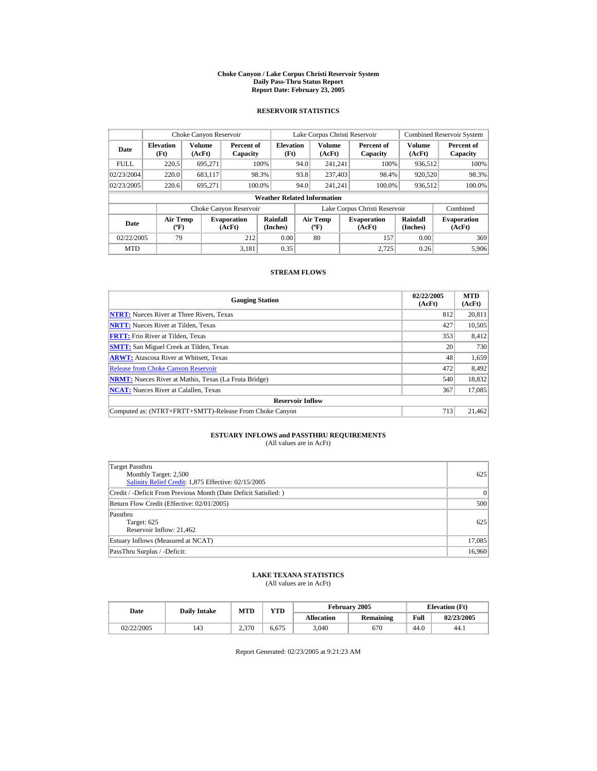#### **Choke Canyon / Lake Corpus Christi Reservoir System Daily Pass-Thru Status Report Report Date: February 23, 2005**

### **RESERVOIR STATISTICS**

|                                                     | Choke Canyon Reservoir   |                         |                              |                                    |      | Lake Corpus Christi Reservoir     |                               |                         | <b>Combined Reservoir System</b> |
|-----------------------------------------------------|--------------------------|-------------------------|------------------------------|------------------------------------|------|-----------------------------------|-------------------------------|-------------------------|----------------------------------|
| Date                                                | <b>Elevation</b><br>(Ft) | <b>Volume</b><br>(AcFt) | Percent of<br>Capacity       | <b>Elevation</b><br>(Ft)           |      | <b>Volume</b><br>(AcFt)           | Percent of<br>Capacity        | <b>Volume</b><br>(AcFt) | Percent of<br>Capacity           |
| <b>FULL</b>                                         | 220.5                    | 695.271                 |                              | 100%                               | 94.0 | 241.241                           | 100%                          | 936,512                 | 100%                             |
| 02/23/2004                                          | 220.0                    | 683,117                 |                              | 98.3%                              | 93.8 | 237,403                           | 98.4%                         | 920,520                 | 98.3%                            |
| 02/23/2005                                          | 220.6                    | 695.271                 |                              | 100.0%                             | 94.0 | 241.241                           | 100.0%                        | 936,512                 | 100.0%                           |
|                                                     |                          |                         |                              | <b>Weather Related Information</b> |      |                                   |                               |                         |                                  |
|                                                     |                          |                         | Choke Canyon Reservoir       |                                    |      |                                   | Lake Corpus Christi Reservoir |                         | Combined                         |
| <b>Air Temp</b><br>Date<br>$({}^{\circ}\mathrm{F})$ |                          |                         | <b>Evaporation</b><br>(AcFt) | Rainfall<br>(Inches)               |      | Air Temp<br>$({}^{\circ}{\rm F})$ | <b>Evaporation</b><br>(AcFt)  | Rainfall<br>(Inches)    | <b>Evaporation</b><br>(AcFt)     |
| 79<br>02/22/2005<br>212                             |                          |                         | 0.00                         |                                    | 80   | 157                               | 0.00                          | 369                     |                                  |
| <b>MTD</b>                                          |                          |                         | 3,181                        | 0.35                               |      |                                   | 2.725                         | 0.26                    | 5,906                            |

### **STREAM FLOWS**

| <b>Gauging Station</b>                                       | 02/22/2005<br>(AcFt) | <b>MTD</b><br>(AcFt) |
|--------------------------------------------------------------|----------------------|----------------------|
| <b>NTRT:</b> Nueces River at Three Rivers, Texas             | 812                  | 20,811               |
| <b>NRTT:</b> Nueces River at Tilden, Texas                   | 427                  | 10.505               |
| <b>FRTT:</b> Frio River at Tilden, Texas                     | 353                  | 8,412                |
| <b>SMTT:</b> San Miguel Creek at Tilden, Texas               | 20                   | 730                  |
| <b>ARWT:</b> Atascosa River at Whitsett, Texas               | 48                   | 1,659                |
| <b>Release from Choke Canvon Reservoir</b>                   | 472                  | 8.492                |
| <b>NRMT:</b> Nueces River at Mathis, Texas (La Fruta Bridge) | 540                  | 18,832               |
| <b>NCAT:</b> Nueces River at Calallen, Texas                 | 367                  | 17,085               |
| <b>Reservoir Inflow</b>                                      |                      |                      |
| Computed as: (NTRT+FRTT+SMTT)-Release From Choke Canyon      | 713                  | 21,462               |

# **ESTUARY INFLOWS and PASSTHRU REQUIREMENTS**<br>(All values are in AcFt)

| Target Passthru<br>Monthly Target: 2,500<br>Salinity Relief Credit: 1,875 Effective: 02/15/2005 | 625    |
|-------------------------------------------------------------------------------------------------|--------|
| Credit / -Deficit From Previous Month (Date Deficit Satisfied: )                                | 0      |
| Return Flow Credit (Effective: 02/01/2005)                                                      | 500    |
| Passthru<br>Target: 625<br>Reservoir Inflow: 21,462                                             | 625    |
| Estuary Inflows (Measured at NCAT)                                                              | 17,085 |
| PassThru Surplus / -Deficit:                                                                    | 16,960 |

### **LAKE TEXANA STATISTICS**

(All values are in AcFt)

| Date       |     | VTD<br>MTD<br><b>Daily Intake</b> |       |                   | February 2005 | <b>Elevation</b> (Ft) |            |
|------------|-----|-----------------------------------|-------|-------------------|---------------|-----------------------|------------|
|            |     |                                   |       | <b>Allocation</b> | Remaining     | Full                  | 02/23/2005 |
| 02/22/2005 | 143 | 2.370                             | 6.675 | 3.040             | 670           | 44.0                  | 44.)       |

Report Generated: 02/23/2005 at 9:21:23 AM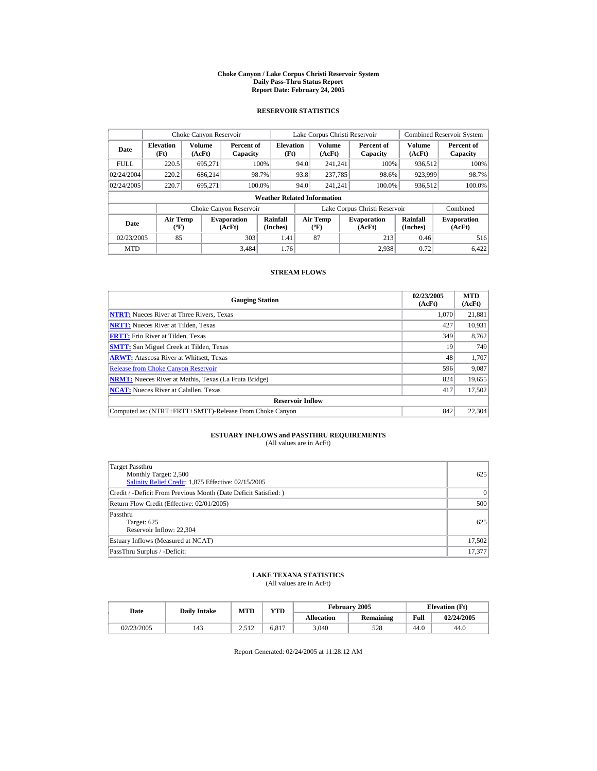#### **Choke Canyon / Lake Corpus Christi Reservoir System Daily Pass-Thru Status Report Report Date: February 24, 2005**

### **RESERVOIR STATISTICS**

|                                                     | Choke Canyon Reservoir   |                         |                              |                                    |      | Lake Corpus Christi Reservoir     |                               |                         | <b>Combined Reservoir System</b> |
|-----------------------------------------------------|--------------------------|-------------------------|------------------------------|------------------------------------|------|-----------------------------------|-------------------------------|-------------------------|----------------------------------|
| Date                                                | <b>Elevation</b><br>(Ft) | <b>Volume</b><br>(AcFt) | Percent of<br>Capacity       | <b>Elevation</b><br>(Ft)           |      | <b>Volume</b><br>(AcFt)           | Percent of<br>Capacity        | <b>Volume</b><br>(AcFt) | Percent of<br>Capacity           |
| <b>FULL</b>                                         | 220.5                    | 695.271                 |                              | 100%                               | 94.0 | 241.241                           | 100%                          | 936,512                 | 100%                             |
| 02/24/2004                                          | 220.2                    | 686.214                 |                              | 98.7%                              | 93.8 | 237,785                           | 98.6%                         | 923,999                 | 98.7%                            |
| 02/24/2005                                          | 220.7                    | 695.271                 |                              | 100.0%                             | 94.0 | 241.241                           | 100.0%                        | 936,512                 | 100.0%                           |
|                                                     |                          |                         |                              | <b>Weather Related Information</b> |      |                                   |                               |                         |                                  |
|                                                     |                          |                         | Choke Canyon Reservoir       |                                    |      |                                   | Lake Corpus Christi Reservoir |                         | Combined                         |
| <b>Air Temp</b><br>Date<br>$({}^{\circ}\mathrm{F})$ |                          |                         | <b>Evaporation</b><br>(AcFt) | Rainfall<br>(Inches)               |      | Air Temp<br>$({}^{\circ}{\rm F})$ | <b>Evaporation</b><br>(AcFt)  | Rainfall<br>(Inches)    | <b>Evaporation</b><br>(AcFt)     |
| 85<br>303<br>02/23/2005                             |                          | 1.41                    |                              | 87                                 | 213  | 0.46                              | 516                           |                         |                                  |
| <b>MTD</b>                                          |                          |                         | 3,484                        | 1.76                               |      |                                   | 2.938                         | 0.72                    | 6.422                            |

### **STREAM FLOWS**

| <b>Gauging Station</b>                                       | 02/23/2005<br>(AcFt) | <b>MTD</b><br>(AcFt) |
|--------------------------------------------------------------|----------------------|----------------------|
| <b>NTRT:</b> Nueces River at Three Rivers, Texas             | 1.070                | 21,881               |
| <b>NRTT:</b> Nueces River at Tilden, Texas                   | 427                  | 10,931               |
| <b>FRTT:</b> Frio River at Tilden, Texas                     | 349                  | 8,762                |
| <b>SMTT:</b> San Miguel Creek at Tilden, Texas               | 19                   | 749                  |
| <b>ARWT:</b> Atascosa River at Whitsett, Texas               | 48                   | 1.707                |
| <b>Release from Choke Canvon Reservoir</b>                   | 596                  | 9,087                |
| <b>NRMT:</b> Nueces River at Mathis, Texas (La Fruta Bridge) | 824                  | 19,655               |
| <b>NCAT:</b> Nueces River at Calallen, Texas                 | 417                  | 17,502               |
| <b>Reservoir Inflow</b>                                      |                      |                      |
| Computed as: (NTRT+FRTT+SMTT)-Release From Choke Canyon      | 842                  | 22,304               |

# **ESTUARY INFLOWS and PASSTHRU REQUIREMENTS**<br>(All values are in AcFt)

| Target Passthru<br>Monthly Target: 2,500<br>Salinity Relief Credit: 1,875 Effective: 02/15/2005 | 625    |
|-------------------------------------------------------------------------------------------------|--------|
| Credit / -Deficit From Previous Month (Date Deficit Satisfied: )                                | 0      |
| Return Flow Credit (Effective: 02/01/2005)                                                      | 500    |
| Passthru<br>Target: 625<br>Reservoir Inflow: 22,304                                             | 625    |
| Estuary Inflows (Measured at NCAT)                                                              | 17,502 |
| PassThru Surplus / -Deficit:                                                                    | 17.377 |

### **LAKE TEXANA STATISTICS**

(All values are in AcFt)

| Date       | <b>Daily Intake</b> | MTD   | VTD   |                   | February 2005 | <b>Elevation</b> (Ft) |            |
|------------|---------------------|-------|-------|-------------------|---------------|-----------------------|------------|
|            |                     |       |       | <b>Allocation</b> | Remaining     | Full                  | 02/24/2005 |
| 02/23/2005 | 143                 | 2.512 | 6.817 | 3.040             | 528           | 44.0                  | 44.0       |

Report Generated: 02/24/2005 at 11:28:12 AM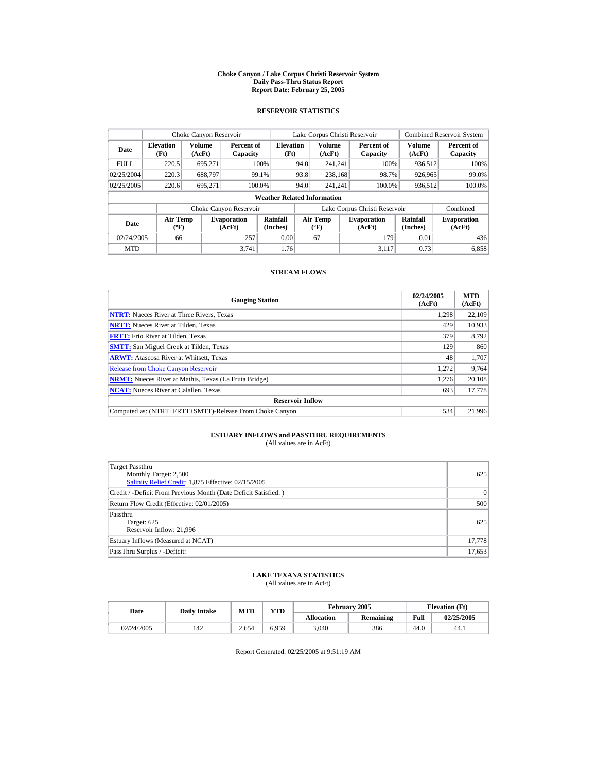#### **Choke Canyon / Lake Corpus Christi Reservoir System Daily Pass-Thru Status Report Report Date: February 25, 2005**

### **RESERVOIR STATISTICS**

|             | Choke Canyon Reservoir             |                         |                              |                          |      | Lake Corpus Christi Reservoir        |  |                               |                         | <b>Combined Reservoir System</b> |  |  |
|-------------|------------------------------------|-------------------------|------------------------------|--------------------------|------|--------------------------------------|--|-------------------------------|-------------------------|----------------------------------|--|--|
| Date        | <b>Elevation</b><br>(Ft)           | <b>Volume</b><br>(AcFt) | Percent of<br>Capacity       | <b>Elevation</b><br>(Ft) |      | <b>Volume</b><br>(AcFt)              |  | Percent of<br>Capacity        | <b>Volume</b><br>(AcFt) | Percent of<br>Capacity           |  |  |
| <b>FULL</b> | 220.5                              | 695.271                 |                              | 100%                     | 94.0 | 241.241                              |  | 100%                          | 936,512                 | 100%                             |  |  |
| 02/25/2004  | 220.3                              | 688.797                 |                              | 99.1%                    | 93.8 | 238.168                              |  | 98.7%                         | 926,965                 | 99.0%                            |  |  |
| 02/25/2005  | 220.6                              | 695.271                 | 100.0%                       |                          | 94.0 | 241.241                              |  | 100.0%                        | 936,512                 | 100.0%                           |  |  |
|             | <b>Weather Related Information</b> |                         |                              |                          |      |                                      |  |                               |                         |                                  |  |  |
|             |                                    |                         | Choke Canyon Reservoir       |                          |      |                                      |  | Lake Corpus Christi Reservoir |                         | Combined                         |  |  |
| Date        | Air Temp<br>$({}^o\mathrm{F})$     |                         | <b>Evaporation</b><br>(AcFt) | Rainfall<br>(Inches)     |      | Air Temp<br>$({}^{\circ}\mathbf{F})$ |  | <b>Evaporation</b><br>(AcFt)  | Rainfall<br>(Inches)    | <b>Evaporation</b><br>(AcFt)     |  |  |
| 02/24/2005  | 66                                 |                         | 257                          | 0.00                     |      | 67                                   |  | 179                           | 0.01                    | 436                              |  |  |
| <b>MTD</b>  |                                    |                         | 3.741                        | 1.76                     |      |                                      |  | 3.117                         | 0.73                    | 6,858                            |  |  |

### **STREAM FLOWS**

| <b>Gauging Station</b>                                       | 02/24/2005<br>(AcFt) | <b>MTD</b><br>(AcFt) |
|--------------------------------------------------------------|----------------------|----------------------|
| <b>NTRT:</b> Nueces River at Three Rivers, Texas             | 1,298                | 22,109               |
| <b>NRTT:</b> Nueces River at Tilden, Texas                   | 429                  | 10,933               |
| <b>FRTT:</b> Frio River at Tilden, Texas                     | 379                  | 8,792                |
| <b>SMTT:</b> San Miguel Creek at Tilden, Texas               | 129                  | 860                  |
| <b>ARWT:</b> Atascosa River at Whitsett, Texas               | 48                   | 1,707                |
| <b>Release from Choke Canyon Reservoir</b>                   | 1,272                | 9,764                |
| <b>NRMT:</b> Nueces River at Mathis, Texas (La Fruta Bridge) | 1.276                | 20,108               |
| <b>NCAT:</b> Nueces River at Calallen, Texas                 | 693                  | 17,778               |
| <b>Reservoir Inflow</b>                                      |                      |                      |
| Computed as: (NTRT+FRTT+SMTT)-Release From Choke Canyon      | 534                  | 21,996               |

# **ESTUARY INFLOWS and PASSTHRU REQUIREMENTS**<br>(All values are in AcFt)

| Target Passthru<br>Monthly Target: 2,500<br>Salinity Relief Credit: 1,875 Effective: 02/15/2005 | 625             |
|-------------------------------------------------------------------------------------------------|-----------------|
| Credit / -Deficit From Previous Month (Date Deficit Satisfied: )                                | $\vert 0 \vert$ |
| Return Flow Credit (Effective: 02/01/2005)                                                      | 500             |
| Passthru<br>Target: 625<br>Reservoir Inflow: 21,996                                             | 625             |
| Estuary Inflows (Measured at NCAT)                                                              | 17,778          |
| PassThru Surplus / -Deficit:                                                                    | 17,653          |

## **LAKE TEXANA STATISTICS**

(All values are in AcFt)

|            | MTD<br>Date<br><b>Daily Intake</b> |       | <b>YTD</b> |                   | February 2005 | <b>Elevation</b> (Ft) |            |
|------------|------------------------------------|-------|------------|-------------------|---------------|-----------------------|------------|
|            |                                    |       |            | <b>Allocation</b> | Remaining     | Full                  | 02/25/2005 |
| 02/24/2005 | 142                                | 2.654 | 6.959      | 3.040             | 386           | 44.0                  | 44.1       |

Report Generated: 02/25/2005 at 9:51:19 AM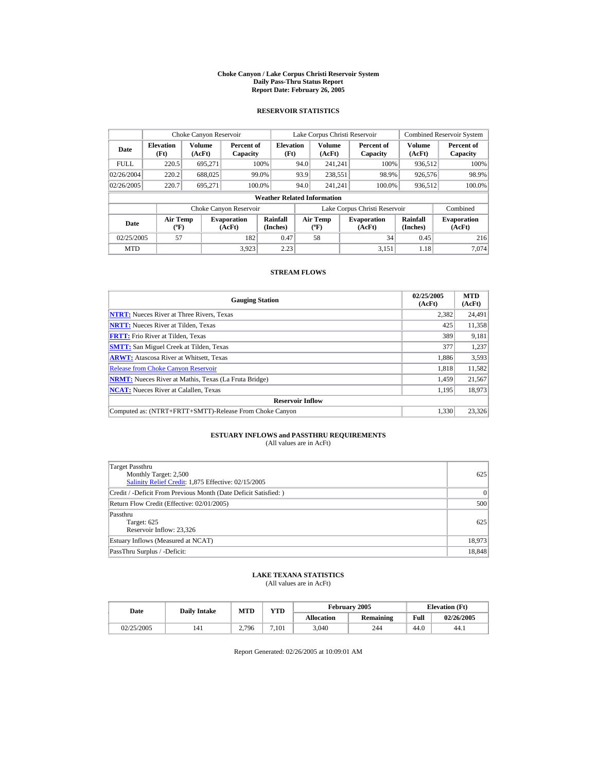#### **Choke Canyon / Lake Corpus Christi Reservoir System Daily Pass-Thru Status Report Report Date: February 26, 2005**

### **RESERVOIR STATISTICS**

| Choke Canyon Reservoir |                                             |                  |                              |                                    |      | Lake Corpus Christi Reservoir            |                                                      |                               |                              | <b>Combined Reservoir System</b> |
|------------------------|---------------------------------------------|------------------|------------------------------|------------------------------------|------|------------------------------------------|------------------------------------------------------|-------------------------------|------------------------------|----------------------------------|
| Date                   | <b>Elevation</b><br>(Ft)                    | Volume<br>(AcFt) | Percent of<br>Capacity       | <b>Elevation</b><br>(Ft)           |      | <b>Volume</b><br>(AcFt)                  |                                                      | Percent of<br>Capacity        | Volume<br>(AcFt)             | Percent of<br>Capacity           |
| <b>FULL</b>            | 220.5                                       | 695.271          |                              | 100%                               | 94.0 | 241.241                                  |                                                      | 100%                          | 936.512                      | 100%                             |
| 02/26/2004             | 220.2                                       | 688,025          |                              | 99.0%                              | 93.9 | 238,551                                  |                                                      | 98.9%                         | 926,576                      | 98.9%                            |
| 02/26/2005             | 220.7                                       | 695.271          |                              | 100.0%                             | 94.0 | 241.241                                  |                                                      | 100.0%                        | 936,512                      | 100.0%                           |
|                        |                                             |                  |                              | <b>Weather Related Information</b> |      |                                          |                                                      |                               |                              |                                  |
|                        |                                             |                  | Choke Canyon Reservoir       |                                    |      |                                          |                                                      | Lake Corpus Christi Reservoir |                              | Combined                         |
| Date                   | <b>Air Temp</b><br>$({}^{\circ}\mathrm{F})$ |                  | <b>Evaporation</b><br>(AcFt) | Rainfall<br>(Inches)               |      | <b>Air Temp</b><br>$({}^{\circ}{\rm F})$ | Rainfall<br><b>Evaporation</b><br>(Inches)<br>(AcFt) |                               | <b>Evaporation</b><br>(AcFt) |                                  |
| 02/25/2005             | 57                                          |                  | 182                          | 0.47                               |      | 58                                       |                                                      | 34                            | 0.45                         | 216                              |
| <b>MTD</b>             |                                             |                  | 3.923                        | 2.23                               |      |                                          |                                                      | 3.151                         | 1.18                         | 7.074                            |

### **STREAM FLOWS**

| <b>Gauging Station</b>                                       | 02/25/2005<br>(AcFt) | <b>MTD</b><br>(AcFt) |
|--------------------------------------------------------------|----------------------|----------------------|
| <b>NTRT:</b> Nueces River at Three Rivers, Texas             | 2,382                | 24,491               |
| <b>NRTT:</b> Nueces River at Tilden, Texas                   | 425                  | 11,358               |
| <b>FRTT:</b> Frio River at Tilden, Texas                     | 389                  | 9,181                |
| <b>SMTT:</b> San Miguel Creek at Tilden, Texas               | 377                  | 1,237                |
| <b>ARWT:</b> Atascosa River at Whitsett, Texas               | 1.886                | 3,593                |
| <b>Release from Choke Canyon Reservoir</b>                   | 1.818                | 11,582               |
| <b>NRMT:</b> Nueces River at Mathis, Texas (La Fruta Bridge) | 1.459                | 21,567               |
| <b>NCAT:</b> Nueces River at Calallen, Texas                 | 1,195                | 18,973               |
| <b>Reservoir Inflow</b>                                      |                      |                      |
| Computed as: (NTRT+FRTT+SMTT)-Release From Choke Canyon      | 1.330                | 23.326               |

# **ESTUARY INFLOWS and PASSTHRU REQUIREMENTS**<br>(All values are in AcFt)

| Target Passthru<br>Monthly Target: 2,500<br>Salinity Relief Credit: 1,875 Effective: 02/15/2005 | 625    |
|-------------------------------------------------------------------------------------------------|--------|
| Credit / -Deficit From Previous Month (Date Deficit Satisfied: )                                | 0      |
| Return Flow Credit (Effective: 02/01/2005)                                                      | 500    |
| Passthru<br>Target: 625<br>Reservoir Inflow: 23,326                                             | 625    |
| Estuary Inflows (Measured at NCAT)                                                              | 18,973 |
| PassThru Surplus / -Deficit:                                                                    | 18,848 |

### **LAKE TEXANA STATISTICS**

(All values are in AcFt)

| Date       | <b>Daily Intake</b> | MTD   | VTD   |                   | February 2005 |      | <b>Elevation</b> (Ft) |
|------------|---------------------|-------|-------|-------------------|---------------|------|-----------------------|
|            |                     |       |       | <b>Allocation</b> | Remaining     | Full | 02/26/2005            |
| 02/25/2005 | 141                 | 2.796 | 7.101 | 3,040             | 244           | 44.0 | 44.1                  |

Report Generated: 02/26/2005 at 10:09:01 AM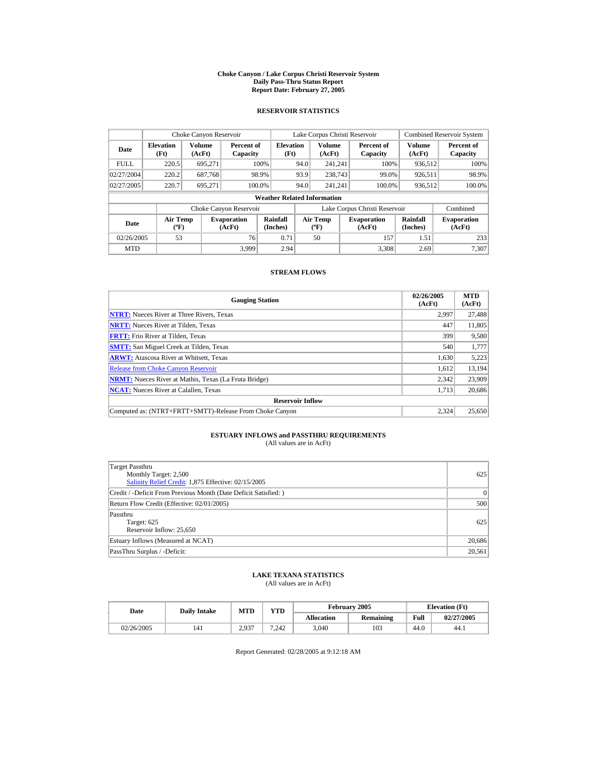#### **Choke Canyon / Lake Corpus Christi Reservoir System Daily Pass-Thru Status Report Report Date: February 27, 2005**

### **RESERVOIR STATISTICS**

|             | Choke Canyon Reservoir                      |                  |                              |                                    |      | Lake Corpus Christi Reservoir     |                               |                      | <b>Combined Reservoir System</b> |
|-------------|---------------------------------------------|------------------|------------------------------|------------------------------------|------|-----------------------------------|-------------------------------|----------------------|----------------------------------|
| Date        | <b>Elevation</b><br>(Ft)                    | Volume<br>(AcFt) | Percent of<br>Capacity       | <b>Elevation</b><br>(Ft)           |      | Volume<br>(AcFt)                  | Percent of<br>Capacity        | Volume<br>(AcFt)     | Percent of<br>Capacity           |
| <b>FULL</b> | 220.5                                       | 695.271          |                              | 100%                               | 94.0 | 241.241                           | 100%                          | 936,512              | 100%                             |
| 02/27/2004  | 220.2                                       | 687.768          |                              | 98.9%                              | 93.9 | 238,743                           | 99.0%                         | 926.511              | 98.9%                            |
| 02/27/2005  | 220.7                                       | 695.271          | 100.0%                       |                                    | 94.0 | 241.241                           | 100.0%                        | 936,512              | 100.0%                           |
|             |                                             |                  |                              | <b>Weather Related Information</b> |      |                                   |                               |                      |                                  |
|             |                                             |                  | Choke Canyon Reservoir       |                                    |      |                                   | Lake Corpus Christi Reservoir |                      | Combined                         |
| Date        | <b>Air Temp</b><br>$({}^{\circ}\mathrm{F})$ |                  | <b>Evaporation</b><br>(AcFt) | Rainfall<br>(Inches)               |      | Air Temp<br>$({}^{\circ}{\rm F})$ | <b>Evaporation</b><br>(AcFt)  | Rainfall<br>(Inches) | <b>Evaporation</b><br>(AcFt)     |
| 02/26/2005  | 53                                          |                  | 76                           | 0.71                               |      | 50                                | 157                           | 1.51                 | 233                              |
| <b>MTD</b>  |                                             |                  | 3.999                        | 2.94                               |      |                                   | 3.308                         | 2.69                 | 7.307                            |

### **STREAM FLOWS**

| <b>Gauging Station</b>                                       | 02/26/2005<br>(AcFt) | <b>MTD</b><br>(AcFt) |
|--------------------------------------------------------------|----------------------|----------------------|
| <b>NTRT:</b> Nueces River at Three Rivers, Texas             | 2.997                | 27,488               |
| <b>NRTT:</b> Nueces River at Tilden, Texas                   | 447                  | 11,805               |
| <b>FRTT:</b> Frio River at Tilden, Texas                     | 399                  | 9,580                |
| <b>SMTT:</b> San Miguel Creek at Tilden, Texas               | 540                  | 1,777                |
| <b>ARWT:</b> Atascosa River at Whitsett, Texas               | 1,630                | 5,223                |
| <b>Release from Choke Canvon Reservoir</b>                   | 1.612                | 13,194               |
| <b>NRMT:</b> Nueces River at Mathis, Texas (La Fruta Bridge) | 2,342                | 23,909               |
| <b>NCAT:</b> Nueces River at Calallen, Texas                 | 1,713                | 20,686               |
| <b>Reservoir Inflow</b>                                      |                      |                      |
| Computed as: (NTRT+FRTT+SMTT)-Release From Choke Canyon      | 2.324                | 25,650               |

# **ESTUARY INFLOWS and PASSTHRU REQUIREMENTS**<br>(All values are in AcFt)

| Target Passthru<br>Monthly Target: 2,500<br>Salinity Relief Credit: 1,875 Effective: 02/15/2005 | 625    |
|-------------------------------------------------------------------------------------------------|--------|
| Credit / -Deficit From Previous Month (Date Deficit Satisfied: )                                | 0      |
| Return Flow Credit (Effective: 02/01/2005)                                                      | 500    |
| Passthru<br>Target: 625<br>Reservoir Inflow: 25,650                                             | 625    |
| Estuary Inflows (Measured at NCAT)                                                              | 20,686 |
| PassThru Surplus / -Deficit:                                                                    | 20.561 |

### **LAKE TEXANA STATISTICS**

(All values are in AcFt)

| Date       | <b>Daily Intake</b> | MTD   | <b>VTD</b> |                   | February 2005 |      | <b>Elevation</b> (Ft) |
|------------|---------------------|-------|------------|-------------------|---------------|------|-----------------------|
|            |                     |       |            | <b>Allocation</b> | Remaining     | Full | 02/27/2005            |
| 02/26/2005 | 141                 | 2.937 | 7.242      | 3.040             | 103           | 44.0 | 44.)                  |

Report Generated: 02/28/2005 at 9:12:18 AM